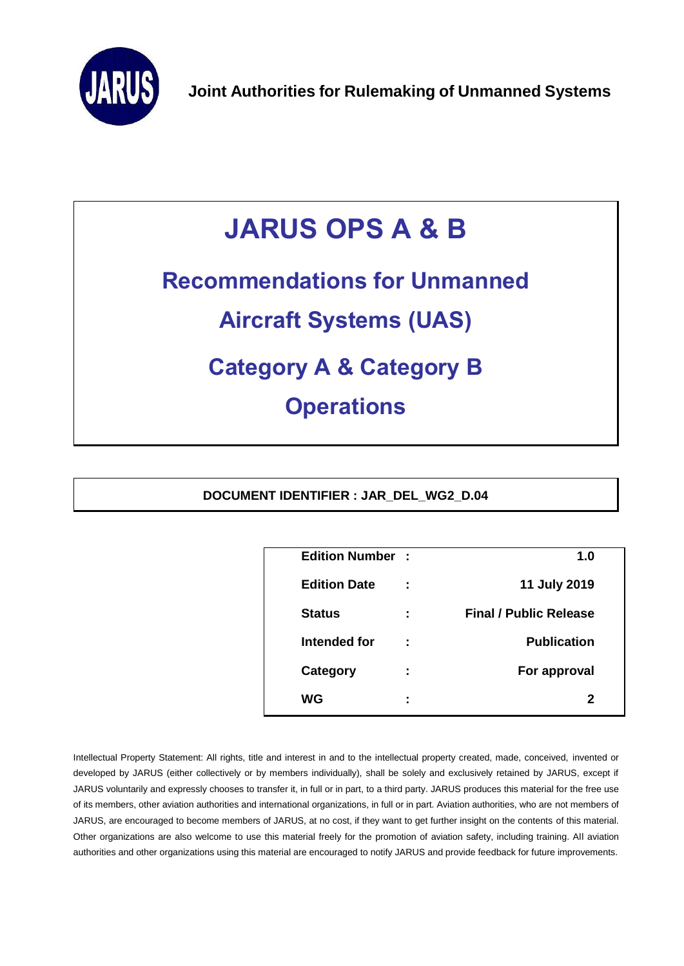

# **JARUS OPS A & B**

## **Recommendations for Unmanned**

## **Aircraft Systems (UAS)**

## **Category A & Category B**

### **Operations**

**DOCUMENT IDENTIFIER : JAR\_DEL\_WG2\_D.04**

| <b>Edition Number:</b> |                     | 1.0                           |  |
|------------------------|---------------------|-------------------------------|--|
| <b>Edition Date</b>    | ÷                   | 11 July 2019                  |  |
| <b>Status</b>          | ÷                   | <b>Final / Public Release</b> |  |
| Intended for           | ÷                   | <b>Publication</b>            |  |
| Category               | ٠<br>$\blacksquare$ | For approval                  |  |
| WG                     | ٠<br>۰              | 2                             |  |
|                        |                     |                               |  |

Intellectual Property Statement: All rights, title and interest in and to the intellectual property created, made, conceived, invented or developed by JARUS (either collectively or by members individually), shall be solely and exclusively retained by JARUS, except if JARUS voluntarily and expressly chooses to transfer it, in full or in part, to a third party. JARUS produces this material for the free use of its members, other aviation authorities and international organizations, in full or in part. Aviation authorities, who are not members of JARUS, are encouraged to become members of JARUS, at no cost, if they want to get further insight on the contents of this material. Other organizations are also welcome to use this material freely for the promotion of aviation safety, including training. All aviation authorities and other organizations using this material are encouraged to notify JARUS and provide feedback for future improvements.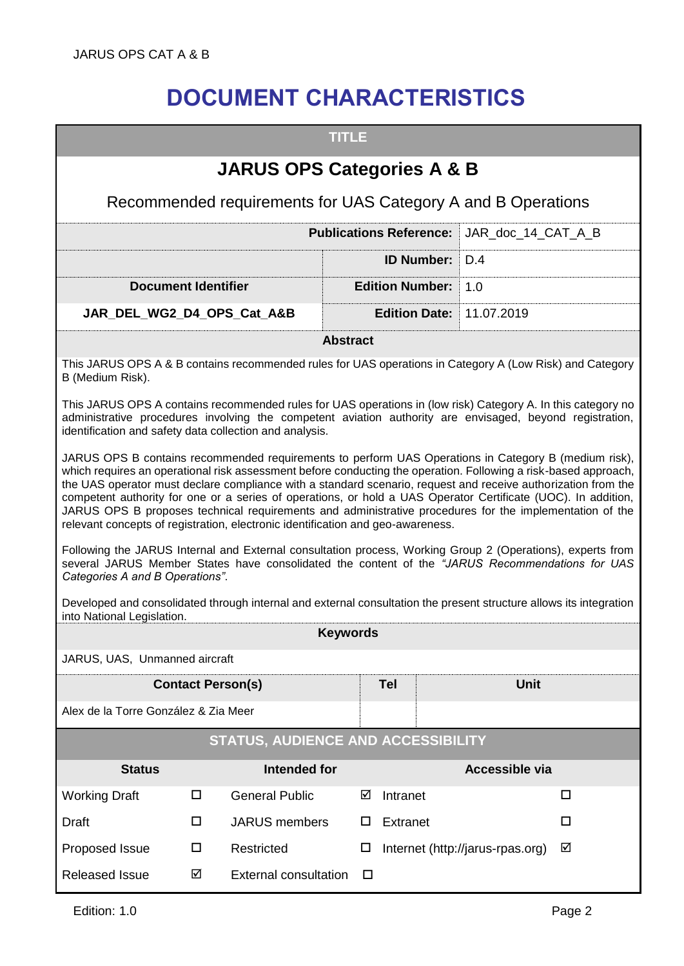### **DOCUMENT CHARACTERISTICS**

<span id="page-1-0"></span>

| <b>TITLE</b>                                                                                                                                                                                                                                                                                                                                                                                                                                                                                                                                                                                                                                            |                                                              |                 |                                |  |                                  |   |  |
|---------------------------------------------------------------------------------------------------------------------------------------------------------------------------------------------------------------------------------------------------------------------------------------------------------------------------------------------------------------------------------------------------------------------------------------------------------------------------------------------------------------------------------------------------------------------------------------------------------------------------------------------------------|--------------------------------------------------------------|-----------------|--------------------------------|--|----------------------------------|---|--|
| <b>JARUS OPS Categories A &amp; B</b>                                                                                                                                                                                                                                                                                                                                                                                                                                                                                                                                                                                                                   |                                                              |                 |                                |  |                                  |   |  |
|                                                                                                                                                                                                                                                                                                                                                                                                                                                                                                                                                                                                                                                         | Recommended requirements for UAS Category A and B Operations |                 |                                |  |                                  |   |  |
|                                                                                                                                                                                                                                                                                                                                                                                                                                                                                                                                                                                                                                                         |                                                              |                 | <b>Publications Reference:</b> |  | JAR doc 14 CAT A B               |   |  |
|                                                                                                                                                                                                                                                                                                                                                                                                                                                                                                                                                                                                                                                         |                                                              |                 | <b>ID Number:</b>              |  | D.4                              |   |  |
| <b>Document Identifier</b>                                                                                                                                                                                                                                                                                                                                                                                                                                                                                                                                                                                                                              |                                                              |                 | <b>Edition Number:</b>         |  | 1.0                              |   |  |
| JAR_DEL_WG2_D4_OPS_Cat_A&B                                                                                                                                                                                                                                                                                                                                                                                                                                                                                                                                                                                                                              |                                                              |                 | <b>Edition Date:</b>           |  | 11.07.2019                       |   |  |
|                                                                                                                                                                                                                                                                                                                                                                                                                                                                                                                                                                                                                                                         |                                                              | <b>Abstract</b> |                                |  |                                  |   |  |
| This JARUS OPS A & B contains recommended rules for UAS operations in Category A (Low Risk) and Category<br>B (Medium Risk).                                                                                                                                                                                                                                                                                                                                                                                                                                                                                                                            |                                                              |                 |                                |  |                                  |   |  |
| This JARUS OPS A contains recommended rules for UAS operations in (low risk) Category A. In this category no<br>administrative procedures involving the competent aviation authority are envisaged, beyond registration,<br>identification and safety data collection and analysis.                                                                                                                                                                                                                                                                                                                                                                     |                                                              |                 |                                |  |                                  |   |  |
| JARUS OPS B contains recommended requirements to perform UAS Operations in Category B (medium risk),<br>which requires an operational risk assessment before conducting the operation. Following a risk-based approach,<br>the UAS operator must declare compliance with a standard scenario, request and receive authorization from the<br>competent authority for one or a series of operations, or hold a UAS Operator Certificate (UOC). In addition,<br>JARUS OPS B proposes technical requirements and administrative procedures for the implementation of the<br>relevant concepts of registration, electronic identification and geo-awareness. |                                                              |                 |                                |  |                                  |   |  |
| Following the JARUS Internal and External consultation process, Working Group 2 (Operations), experts from<br>several JARUS Member States have consolidated the content of the "JARUS Recommendations for UAS<br>Categories A and B Operations".                                                                                                                                                                                                                                                                                                                                                                                                        |                                                              |                 |                                |  |                                  |   |  |
| Developed and consolidated through internal and external consultation the present structure allows its integration<br>into National Legislation.                                                                                                                                                                                                                                                                                                                                                                                                                                                                                                        |                                                              |                 |                                |  |                                  |   |  |
| <b>Keywords</b>                                                                                                                                                                                                                                                                                                                                                                                                                                                                                                                                                                                                                                         |                                                              |                 |                                |  |                                  |   |  |
| JARUS, UAS, Unmanned aircraft                                                                                                                                                                                                                                                                                                                                                                                                                                                                                                                                                                                                                           |                                                              |                 |                                |  |                                  |   |  |
| <b>Contact Person(s)</b>                                                                                                                                                                                                                                                                                                                                                                                                                                                                                                                                                                                                                                |                                                              |                 | <b>Tel</b>                     |  | <b>Unit</b>                      |   |  |
| Alex de la Torre González & Zia Meer                                                                                                                                                                                                                                                                                                                                                                                                                                                                                                                                                                                                                    |                                                              |                 |                                |  |                                  |   |  |
| STATUS, AUDIENCE AND ACCESSIBILITY                                                                                                                                                                                                                                                                                                                                                                                                                                                                                                                                                                                                                      |                                                              |                 |                                |  |                                  |   |  |
| <b>Status</b>                                                                                                                                                                                                                                                                                                                                                                                                                                                                                                                                                                                                                                           | <b>Intended for</b>                                          |                 |                                |  | Accessible via                   |   |  |
| <b>Working Draft</b><br>□                                                                                                                                                                                                                                                                                                                                                                                                                                                                                                                                                                                                                               | <b>General Public</b>                                        | ☑               | Intranet                       |  |                                  | □ |  |
| Draft<br>□                                                                                                                                                                                                                                                                                                                                                                                                                                                                                                                                                                                                                                              | <b>JARUS</b> members                                         | □               | Extranet                       |  |                                  | □ |  |
| Proposed Issue<br>□                                                                                                                                                                                                                                                                                                                                                                                                                                                                                                                                                                                                                                     | Restricted                                                   | □               |                                |  | Internet (http://jarus-rpas.org) | ☑ |  |
| <b>Released Issue</b><br>☑                                                                                                                                                                                                                                                                                                                                                                                                                                                                                                                                                                                                                              | <b>External consultation</b>                                 | □               |                                |  |                                  |   |  |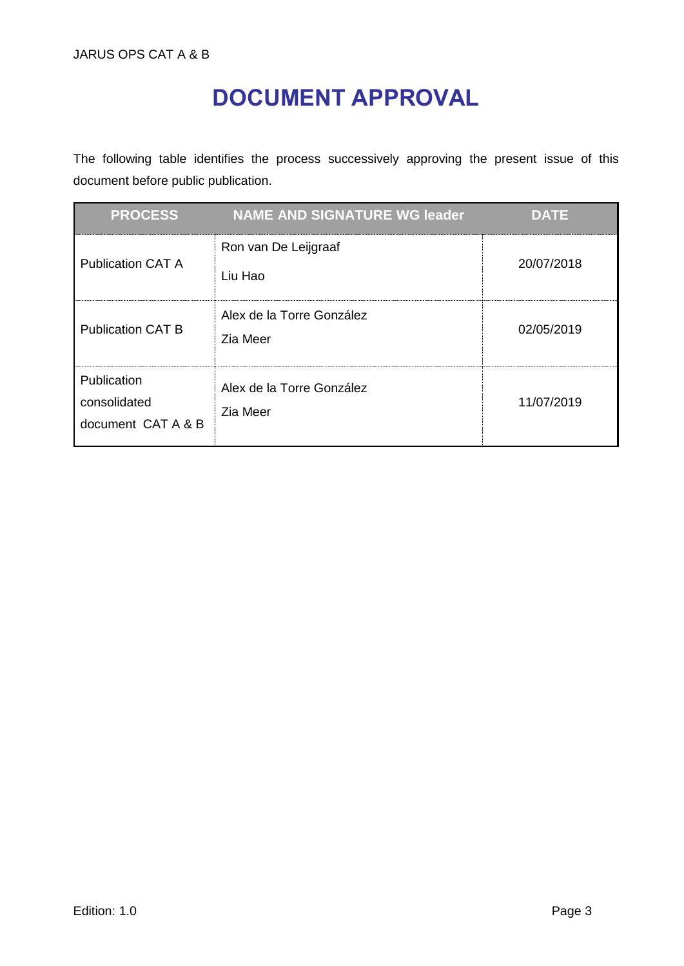### **DOCUMENT APPROVAL**

<span id="page-2-0"></span>The following table identifies the process successively approving the present issue of this document before public publication.

| <b>PROCESS</b>                                    | <b>NAME AND SIGNATURE WG leader</b>   | <b>DATE</b> |
|---------------------------------------------------|---------------------------------------|-------------|
| <b>Publication CAT A</b>                          | Ron van De Leijgraaf<br>Liu Hao       | 20/07/2018  |
| <b>Publication CAT B</b>                          | Alex de la Torre González<br>Zia Meer | 02/05/2019  |
| Publication<br>consolidated<br>document CAT A & B | Alex de la Torre González<br>Zia Meer | 11/07/2019  |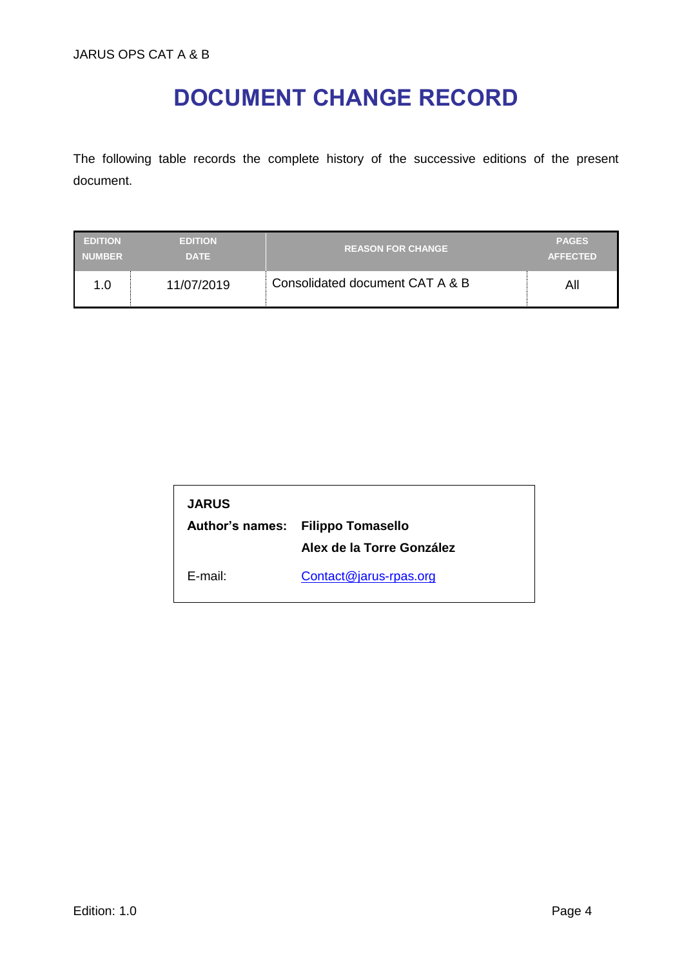### **DOCUMENT CHANGE RECORD**

<span id="page-3-0"></span>The following table records the complete history of the successive editions of the present document.

| <b>EDITION</b> | <b>EDITION</b> | <b>REASON FOR CHANGE</b>        | <b>PAGES</b>    |
|----------------|----------------|---------------------------------|-----------------|
| <b>NUMBER</b>  | <b>DATE</b>    |                                 | <b>AFFECTED</b> |
| 1.0            | 11/07/2019     | Consolidated document CAT A & B | All             |

| <b>JARUS</b> |                                   |
|--------------|-----------------------------------|
|              | Author's names: Filippo Tomasello |
|              | Alex de la Torre González         |
| F-mail:      | Contact@jarus-rpas.org            |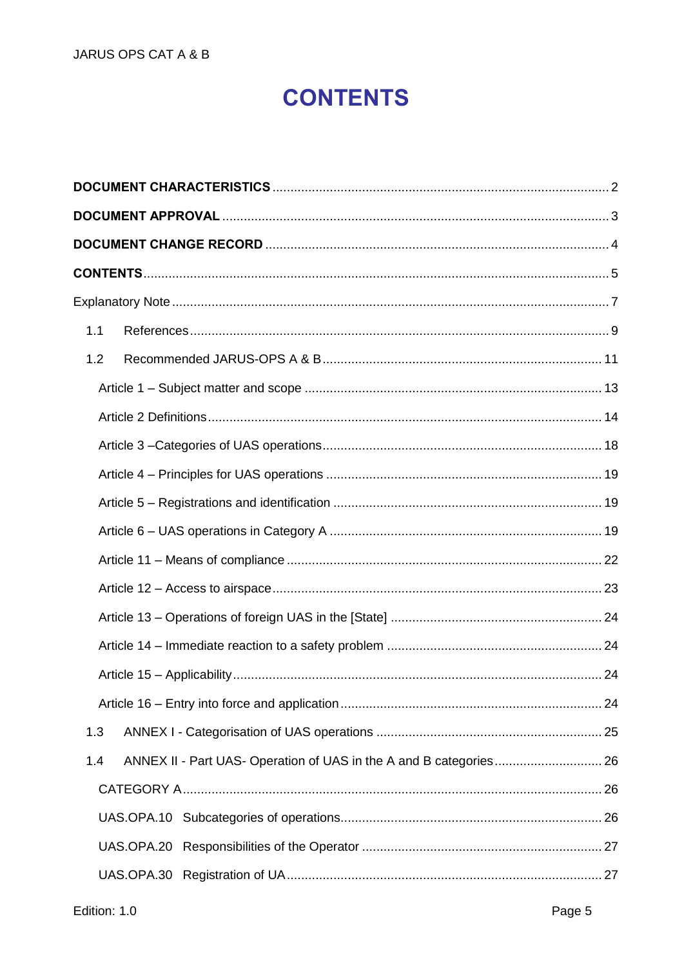### **CONTENTS**

<span id="page-4-0"></span>

| 1.1 |  |
|-----|--|
| 1.2 |  |
|     |  |
|     |  |
|     |  |
|     |  |
|     |  |
|     |  |
|     |  |
|     |  |
|     |  |
|     |  |
|     |  |
|     |  |
| 1.3 |  |
| 1.4 |  |
|     |  |
|     |  |
|     |  |
|     |  |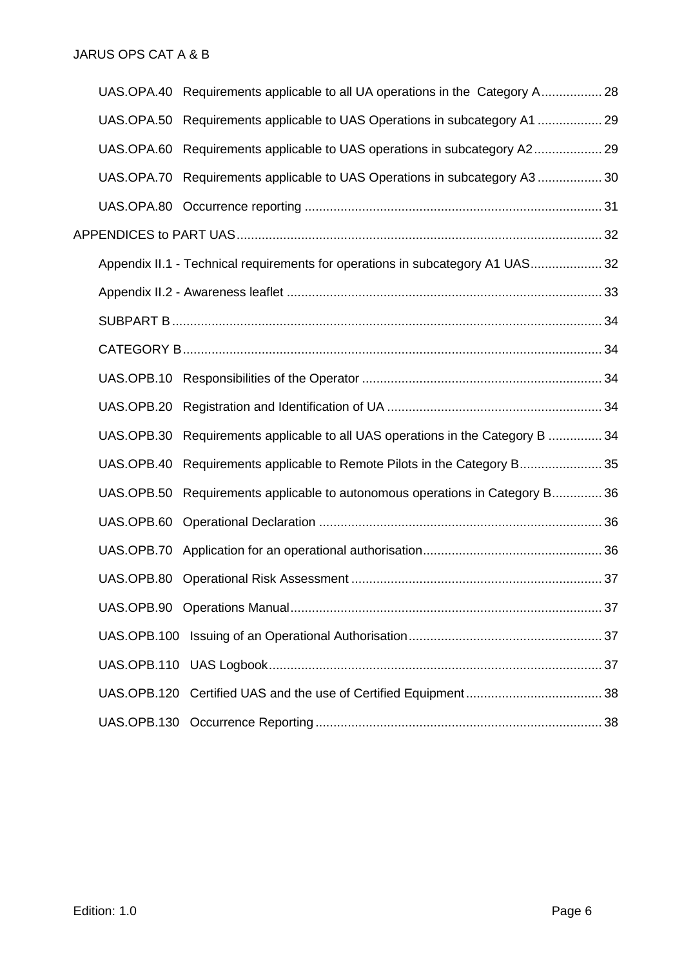|            | UAS.OPA.40 Requirements applicable to all UA operations in the Category A 28   |  |
|------------|--------------------------------------------------------------------------------|--|
|            | UAS.OPA.50 Requirements applicable to UAS Operations in subcategory A1  29     |  |
|            | UAS.OPA.60 Requirements applicable to UAS operations in subcategory A2 29      |  |
|            | UAS.OPA.70 Requirements applicable to UAS Operations in subcategory A3 30      |  |
|            |                                                                                |  |
|            |                                                                                |  |
|            | Appendix II.1 - Technical requirements for operations in subcategory A1 UAS32  |  |
|            |                                                                                |  |
|            |                                                                                |  |
|            |                                                                                |  |
|            |                                                                                |  |
|            |                                                                                |  |
|            | UAS.OPB.30 Requirements applicable to all UAS operations in the Category B  34 |  |
| UAS.OPB.40 | Requirements applicable to Remote Pilots in the Category B 35                  |  |
| UAS.OPB.50 | Requirements applicable to autonomous operations in Category B36               |  |
|            |                                                                                |  |
|            |                                                                                |  |
|            |                                                                                |  |
|            |                                                                                |  |
|            |                                                                                |  |
|            |                                                                                |  |
|            |                                                                                |  |
|            |                                                                                |  |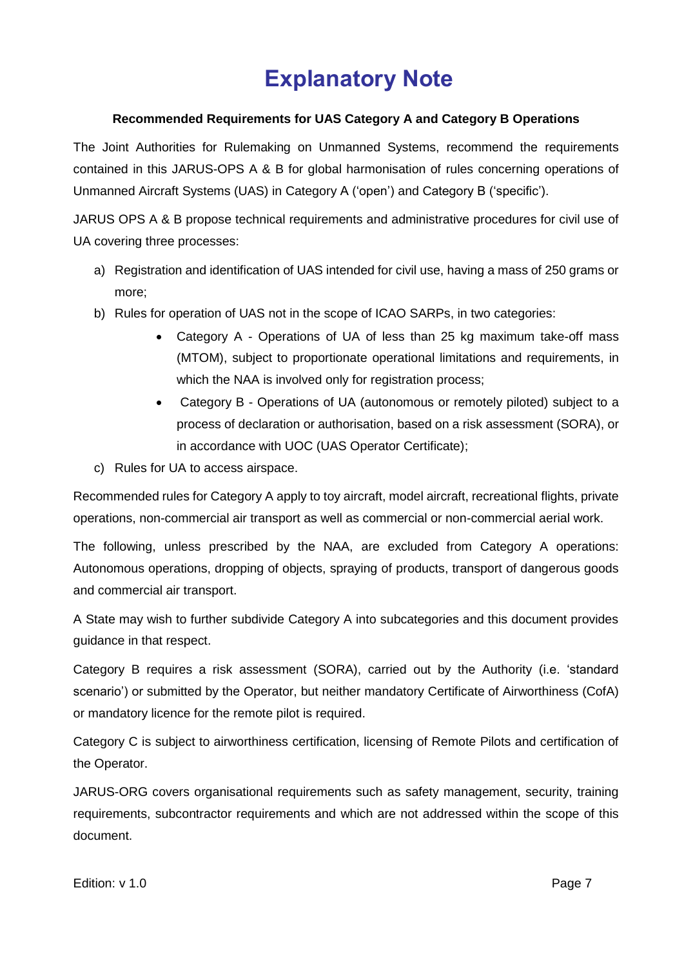### **Explanatory Note**

#### <span id="page-6-0"></span>**Recommended Requirements for UAS Category A and Category B Operations**

The Joint Authorities for Rulemaking on Unmanned Systems, recommend the requirements contained in this JARUS-OPS A & B for global harmonisation of rules concerning operations of Unmanned Aircraft Systems (UAS) in Category A ('open') and Category B ('specific').

JARUS OPS A & B propose technical requirements and administrative procedures for civil use of UA covering three processes:

- a) Registration and identification of UAS intended for civil use, having a mass of 250 grams or more;
- b) Rules for operation of UAS not in the scope of ICAO SARPs, in two categories:
	- Category A Operations of UA of less than 25 kg maximum take-off mass (MTOM), subject to proportionate operational limitations and requirements, in which the NAA is involved only for registration process;
	- Category B Operations of UA (autonomous or remotely piloted) subject to a process of declaration or authorisation, based on a risk assessment (SORA), or in accordance with UOC (UAS Operator Certificate);
- c) Rules for UA to access airspace.

Recommended rules for Category A apply to toy aircraft, model aircraft, recreational flights, private operations, non-commercial air transport as well as commercial or non-commercial aerial work.

The following, unless prescribed by the NAA, are excluded from Category A operations: Autonomous operations, dropping of objects, spraying of products, transport of dangerous goods and commercial air transport.

A State may wish to further subdivide Category A into subcategories and this document provides guidance in that respect.

Category B requires a risk assessment (SORA), carried out by the Authority (i.e. 'standard scenario') or submitted by the Operator, but neither mandatory Certificate of Airworthiness (CofA) or mandatory licence for the remote pilot is required.

Category C is subject to airworthiness certification, licensing of Remote Pilots and certification of the Operator.

JARUS-ORG covers organisational requirements such as safety management, security, training requirements, subcontractor requirements and which are not addressed within the scope of this document.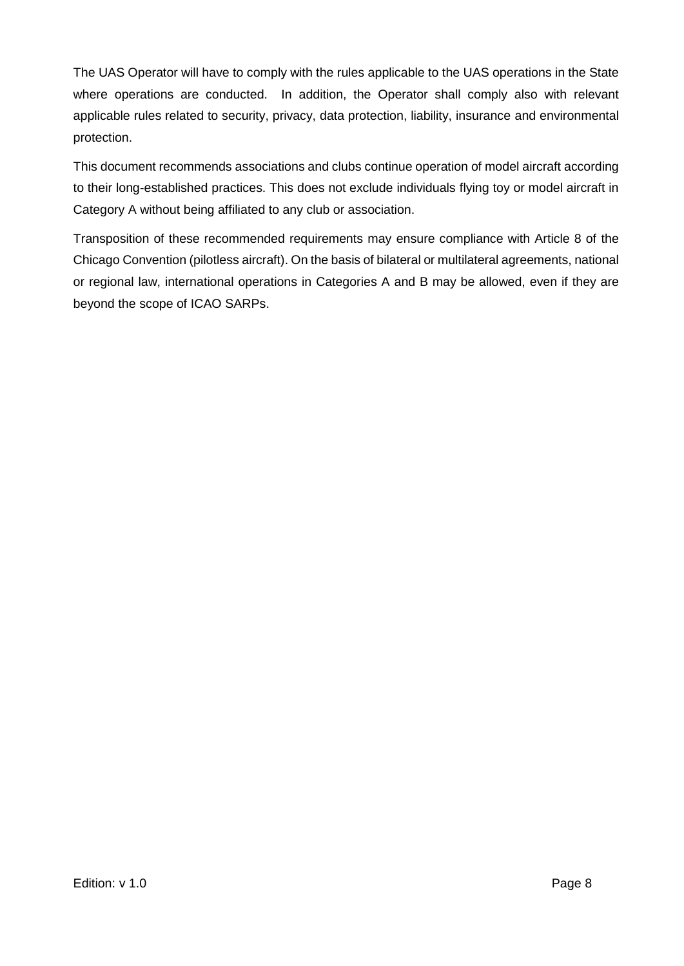The UAS Operator will have to comply with the rules applicable to the UAS operations in the State where operations are conducted. In addition, the Operator shall comply also with relevant applicable rules related to security, privacy, data protection, liability, insurance and environmental protection.

This document recommends associations and clubs continue operation of model aircraft according to their long-established practices. This does not exclude individuals flying toy or model aircraft in Category A without being affiliated to any club or association.

Transposition of these recommended requirements may ensure compliance with Article 8 of the Chicago Convention (pilotless aircraft). On the basis of bilateral or multilateral agreements, national or regional law, international operations in Categories A and B may be allowed, even if they are beyond the scope of ICAO SARPs.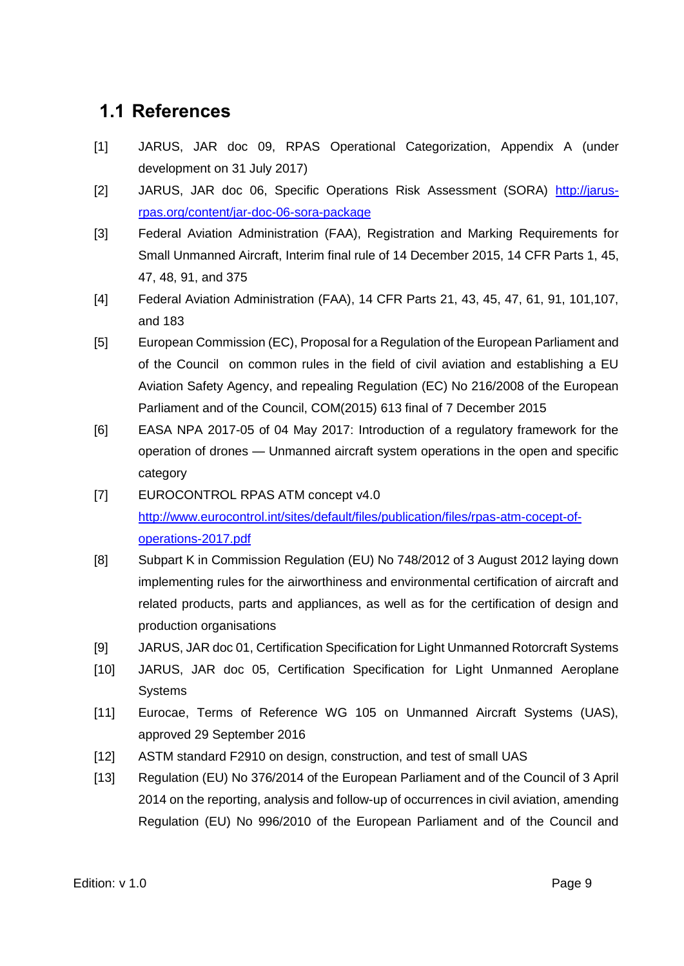### <span id="page-8-0"></span>**1.1 References**

- [1] JARUS, JAR doc 09, RPAS Operational Categorization, Appendix A (under development on 31 July 2017)
- [2] JARUS, JAR doc 06, Specific Operations Risk Assessment (SORA) [http://jarus](http://jarus-rpas.org/content/jar-doc-06-sora-package)[rpas.org/content/jar-doc-06-sora-package](http://jarus-rpas.org/content/jar-doc-06-sora-package)
- [3] Federal Aviation Administration (FAA), Registration and Marking Requirements for Small Unmanned Aircraft, Interim final rule of 14 December 2015, 14 CFR Parts 1, 45, 47, 48, 91, and 375
- [4] Federal Aviation Administration (FAA), 14 CFR Parts 21, 43, 45, 47, 61, 91, 101,107, and 183
- [5] European Commission (EC), Proposal for a Regulation of the European Parliament and of the Council on common rules in the field of civil aviation and establishing a EU Aviation Safety Agency, and repealing Regulation (EC) No 216/2008 of the European Parliament and of the Council, COM(2015) 613 final of 7 December 2015
- [6] EASA NPA 2017-05 of 04 May 2017: Introduction of a regulatory framework for the operation of drones — Unmanned aircraft system operations in the open and specific category
- [7] EUROCONTROL RPAS ATM concept v4.0 [http://www.eurocontrol.int/sites/default/files/publication/files/rpas-atm-cocept-of](http://www.eurocontrol.int/sites/default/files/publication/files/rpas-atm-cocept-of-operations-2017.pdf)[operations-2017.pdf](http://www.eurocontrol.int/sites/default/files/publication/files/rpas-atm-cocept-of-operations-2017.pdf)
- [8] Subpart K in Commission Regulation (EU) No 748/2012 of 3 August 2012 laying down implementing rules for the airworthiness and environmental certification of aircraft and related products, parts and appliances, as well as for the certification of design and production organisations
- [9] JARUS, JAR doc 01, Certification Specification for Light Unmanned Rotorcraft Systems
- [10] JARUS, JAR doc 05, Certification Specification for Light Unmanned Aeroplane **Systems**
- [11] Eurocae, Terms of Reference WG 105 on Unmanned Aircraft Systems (UAS), approved 29 September 2016
- [12] ASTM standard F2910 on design, construction, and test of small UAS
- [13] Regulation (EU) No 376/2014 of the European Parliament and of the Council of 3 April 2014 on the reporting, analysis and follow-up of occurrences in civil aviation, amending Regulation (EU) No 996/2010 of the European Parliament and of the Council and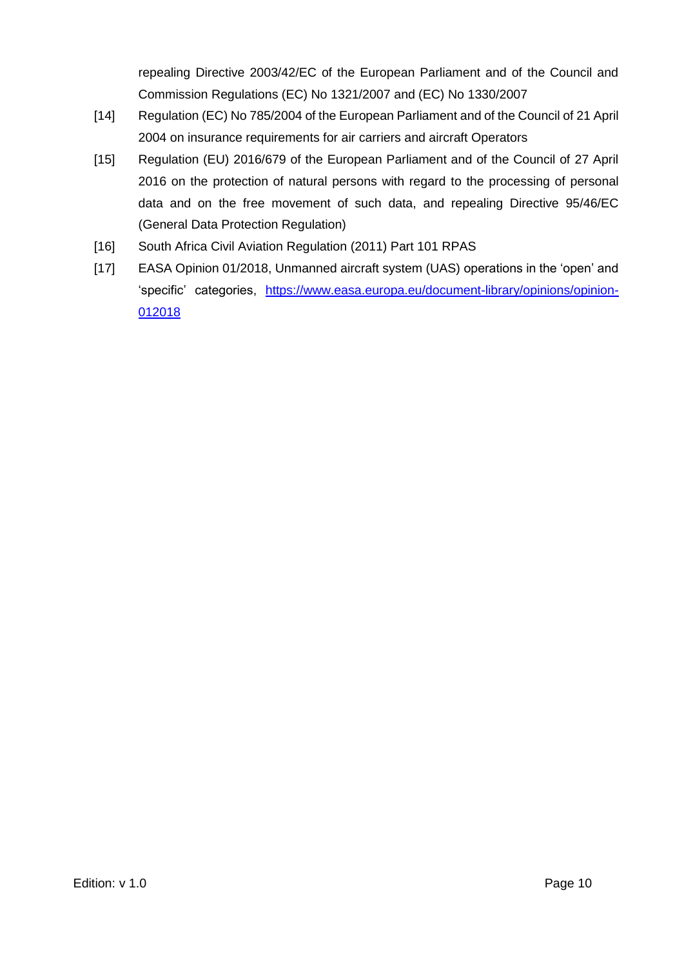repealing Directive 2003/42/EC of the European Parliament and of the Council and Commission Regulations (EC) No 1321/2007 and (EC) No 1330/2007

- [14] Regulation (EC) No 785/2004 of the European Parliament and of the Council of 21 April 2004 on insurance requirements for air carriers and aircraft Operators
- [15] Regulation (EU) 2016/679 of the European Parliament and of the Council of 27 April 2016 on the protection of natural persons with regard to the processing of personal data and on the free movement of such data, and repealing Directive 95/46/EC (General Data Protection Regulation)
- [16] South Africa Civil Aviation Regulation (2011) Part 101 RPAS
- [17] EASA Opinion 01/2018, Unmanned aircraft system (UAS) operations in the 'open' and 'specific' categories, [https://www.easa.europa.eu/document-library/opinions/opinion-](https://www.easa.europa.eu/document-library/opinions/opinion-012018)[012018](https://www.easa.europa.eu/document-library/opinions/opinion-012018)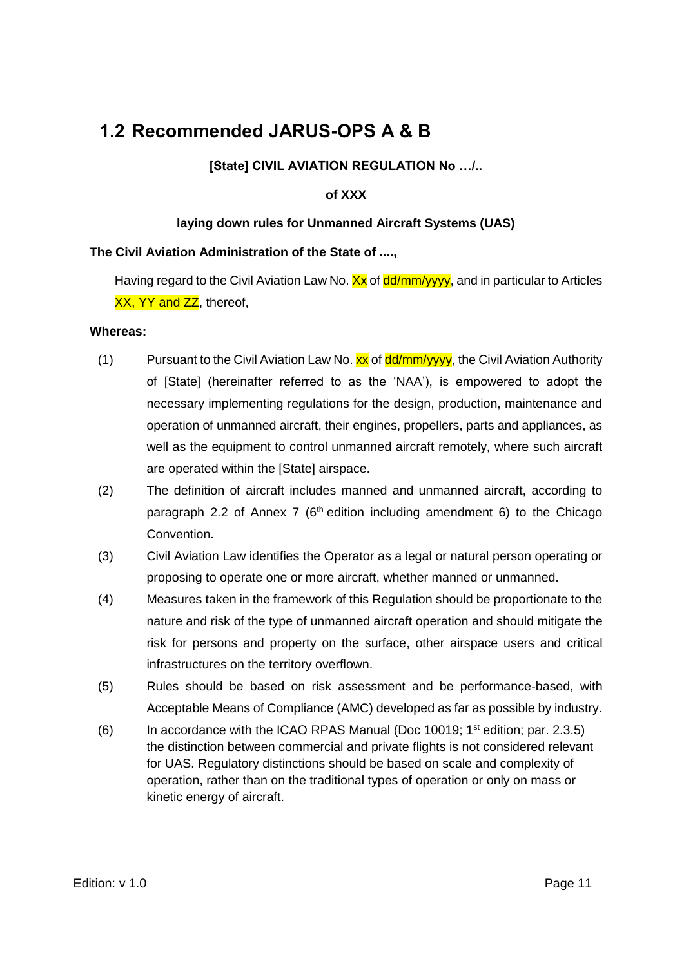### <span id="page-10-0"></span>**1.2 Recommended JARUS-OPS A & B**

#### **[State] CIVIL AVIATION REGULATION No …/..**

#### **of XXX**

#### **laying down rules for Unmanned Aircraft Systems (UAS)**

#### **The Civil Aviation Administration of the State of ....,**

Having regard to the Civil Aviation Law No.  $\frac{X}{X}$  of  $\frac{dd}{m}$  $\frac{M}{yy}$ , and in particular to Articles XX, YY and ZZ, thereof,

#### **Whereas:**

- (1) Pursuant to the Civil Aviation Law No.  $xx$  of  $\frac{dd}{m}$ / $\frac{dy}{dy}$ , the Civil Aviation Authority of [State] (hereinafter referred to as the 'NAA'), is empowered to adopt the necessary implementing regulations for the design, production, maintenance and operation of unmanned aircraft, their engines, propellers, parts and appliances, as well as the equipment to control unmanned aircraft remotely, where such aircraft are operated within the [State] airspace.
- (2) The definition of aircraft includes manned and unmanned aircraft, according to paragraph 2.2 of Annex 7 ( $6<sup>th</sup>$  edition including amendment 6) to the Chicago Convention.
- (3) Civil Aviation Law identifies the Operator as a legal or natural person operating or proposing to operate one or more aircraft, whether manned or unmanned.
- (4) Measures taken in the framework of this Regulation should be proportionate to the nature and risk of the type of unmanned aircraft operation and should mitigate the risk for persons and property on the surface, other airspace users and critical infrastructures on the territory overflown.
- (5) Rules should be based on risk assessment and be performance-based, with Acceptable Means of Compliance (AMC) developed as far as possible by industry.
- (6) In accordance with the ICAO RPAS Manual (Doc 10019;  $1<sup>st</sup>$  edition; par. 2.3.5) the distinction between commercial and private flights is not considered relevant for UAS. Regulatory distinctions should be based on scale and complexity of operation, rather than on the traditional types of operation or only on mass or kinetic energy of aircraft.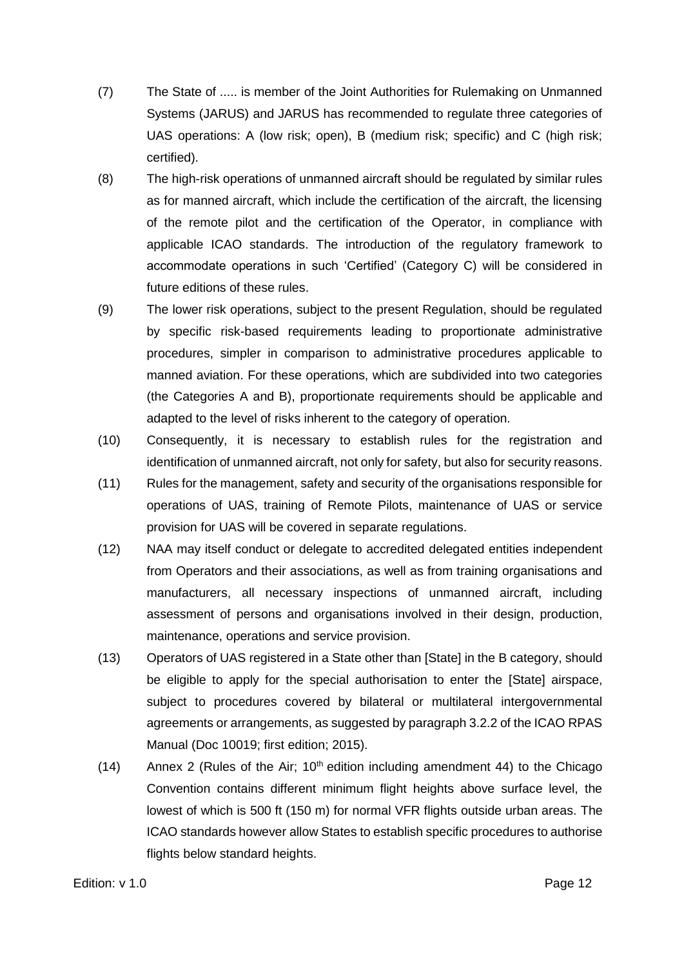- (7) The State of ..... is member of the Joint Authorities for Rulemaking on Unmanned Systems (JARUS) and JARUS has recommended to regulate three categories of UAS operations: A (low risk; open), B (medium risk; specific) and C (high risk; certified).
- (8) The high-risk operations of unmanned aircraft should be regulated by similar rules as for manned aircraft, which include the certification of the aircraft, the licensing of the remote pilot and the certification of the Operator, in compliance with applicable ICAO standards. The introduction of the regulatory framework to accommodate operations in such 'Certified' (Category C) will be considered in future editions of these rules.
- (9) The lower risk operations, subject to the present Regulation, should be regulated by specific risk-based requirements leading to proportionate administrative procedures, simpler in comparison to administrative procedures applicable to manned aviation. For these operations, which are subdivided into two categories (the Categories A and B), proportionate requirements should be applicable and adapted to the level of risks inherent to the category of operation.
- (10) Consequently, it is necessary to establish rules for the registration and identification of unmanned aircraft, not only for safety, but also for security reasons.
- (11) Rules for the management, safety and security of the organisations responsible for operations of UAS, training of Remote Pilots, maintenance of UAS or service provision for UAS will be covered in separate regulations.
- (12) NAA may itself conduct or delegate to accredited delegated entities independent from Operators and their associations, as well as from training organisations and manufacturers, all necessary inspections of unmanned aircraft, including assessment of persons and organisations involved in their design, production, maintenance, operations and service provision.
- (13) Operators of UAS registered in a State other than [State] in the B category, should be eligible to apply for the special authorisation to enter the [State] airspace, subject to procedures covered by bilateral or multilateral intergovernmental agreements or arrangements, as suggested by paragraph 3.2.2 of the ICAO RPAS Manual (Doc 10019; first edition; 2015).
- (14) Annex 2 (Rules of the Air;  $10<sup>th</sup>$  edition including amendment 44) to the Chicago Convention contains different minimum flight heights above surface level, the lowest of which is 500 ft (150 m) for normal VFR flights outside urban areas. The ICAO standards however allow States to establish specific procedures to authorise flights below standard heights.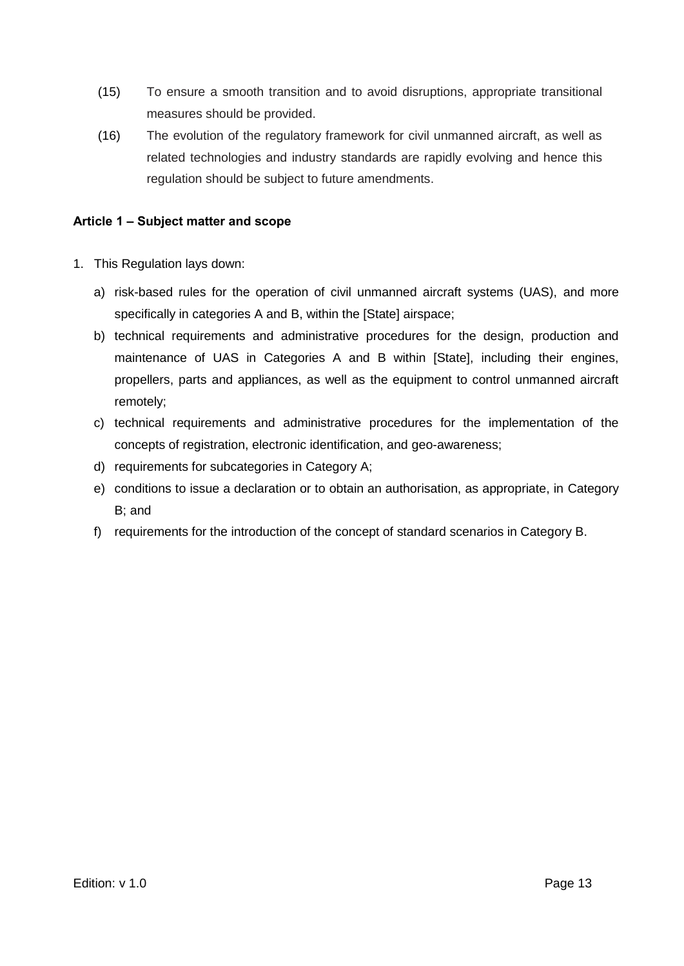- (15) To ensure a smooth transition and to avoid disruptions, appropriate transitional measures should be provided.
- (16) The evolution of the regulatory framework for civil unmanned aircraft, as well as related technologies and industry standards are rapidly evolving and hence this regulation should be subject to future amendments.

#### <span id="page-12-0"></span>**Article 1 – Subject matter and scope**

- 1. This Regulation lays down:
	- a) risk-based rules for the operation of civil unmanned aircraft systems (UAS), and more specifically in categories A and B, within the [State] airspace;
	- b) technical requirements and administrative procedures for the design, production and maintenance of UAS in Categories A and B within [State], including their engines, propellers, parts and appliances, as well as the equipment to control unmanned aircraft remotely;
	- c) technical requirements and administrative procedures for the implementation of the concepts of registration, electronic identification, and geo-awareness;
	- d) requirements for subcategories in Category A;
	- e) conditions to issue a declaration or to obtain an authorisation, as appropriate, in Category B; and
	- f) requirements for the introduction of the concept of standard scenarios in Category B.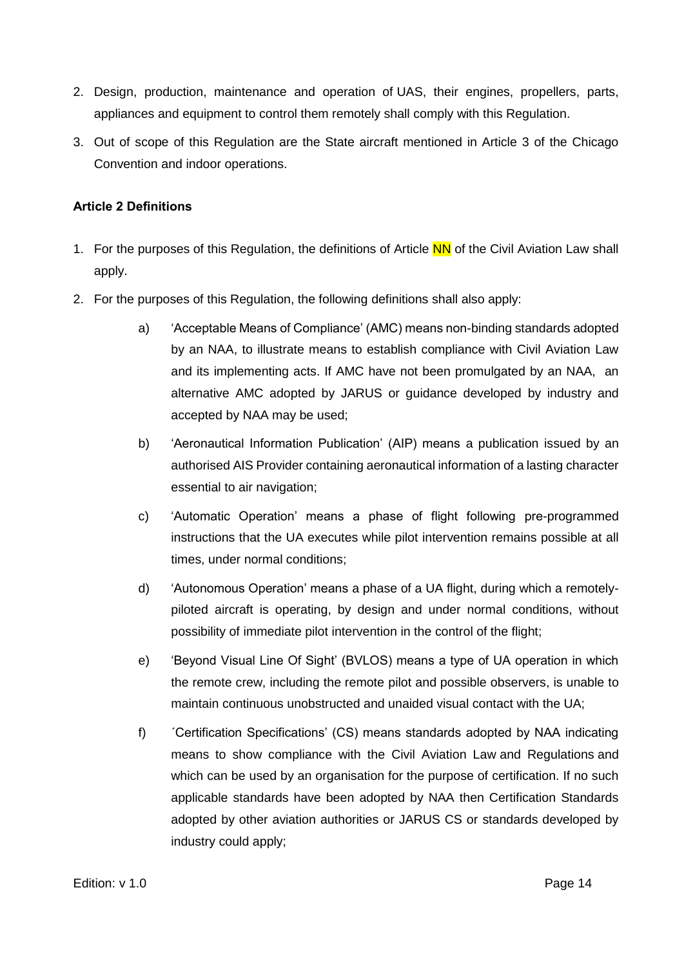- 2. Design, production, maintenance and operation of UAS, their engines, propellers, parts, appliances and equipment to control them remotely shall comply with this Regulation.
- 3. Out of scope of this Regulation are the State aircraft mentioned in Article 3 of the Chicago Convention and indoor operations.

#### <span id="page-13-0"></span>**Article 2 Definitions**

- 1. For the purposes of this Regulation, the definitions of Article NN of the Civil Aviation Law shall apply.
- 2. For the purposes of this Regulation, the following definitions shall also apply:
	- a) 'Acceptable Means of Compliance' (AMC) means non-binding standards adopted by an NAA, to illustrate means to establish compliance with Civil Aviation Law and its implementing acts. If AMC have not been promulgated by an NAA, an alternative AMC adopted by JARUS or guidance developed by industry and accepted by NAA may be used;
	- b) 'Aeronautical Information Publication' (AIP) means a publication issued by an authorised AIS Provider containing aeronautical information of a lasting character essential to air navigation;
	- c) 'Automatic Operation' means a phase of flight following pre-programmed instructions that the UA executes while pilot intervention remains possible at all times, under normal conditions;
	- d) 'Autonomous Operation' means a phase of a UA flight, during which a remotelypiloted aircraft is operating, by design and under normal conditions, without possibility of immediate pilot intervention in the control of the flight;
	- e) 'Beyond Visual Line Of Sight' (BVLOS) means a type of UA operation in which the remote crew, including the remote pilot and possible observers, is unable to maintain continuous unobstructed and unaided visual contact with the UA;
	- f) ´Certification Specifications' (CS) means standards adopted by NAA indicating means to show compliance with the Civil Aviation Law and Regulations and which can be used by an organisation for the purpose of certification. If no such applicable standards have been adopted by NAA then Certification Standards adopted by other aviation authorities or JARUS CS or standards developed by industry could apply;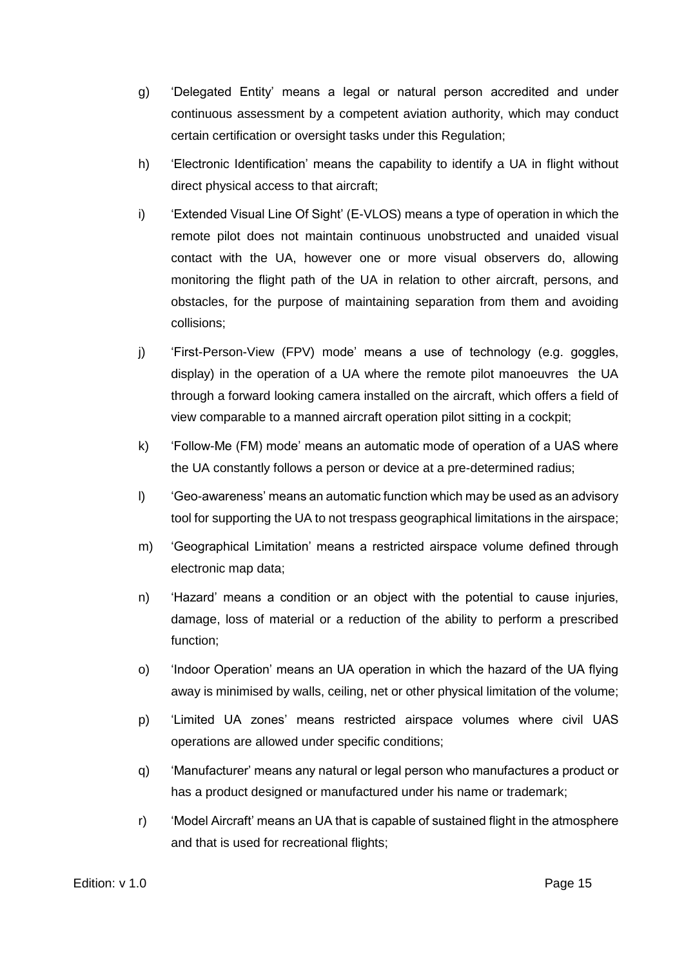- g) 'Delegated Entity' means a legal or natural person accredited and under continuous assessment by a competent aviation authority, which may conduct certain certification or oversight tasks under this Regulation;
- h) 'Electronic Identification' means the capability to identify a UA in flight without direct physical access to that aircraft;
- i) 'Extended Visual Line Of Sight' (E-VLOS) means a type of operation in which the remote pilot does not maintain continuous unobstructed and unaided visual contact with the UA, however one or more visual observers do, allowing monitoring the flight path of the UA in relation to other aircraft, persons, and obstacles, for the purpose of maintaining separation from them and avoiding collisions;
- j) 'First-Person-View (FPV) mode' means a use of technology (e.g. goggles, display) in the operation of a UA where the remote pilot manoeuvres the UA through a forward looking camera installed on the aircraft, which offers a field of view comparable to a manned aircraft operation pilot sitting in a cockpit;
- k) 'Follow-Me (FM) mode' means an automatic mode of operation of a UAS where the UA constantly follows a person or device at a pre-determined radius;
- l) 'Geo-awareness' means an automatic function which may be used as an advisory tool for supporting the UA to not trespass geographical limitations in the airspace;
- m) 'Geographical Limitation' means a restricted airspace volume defined through electronic map data;
- n) 'Hazard' means a condition or an object with the potential to cause injuries, damage, loss of material or a reduction of the ability to perform a prescribed function;
- o) 'Indoor Operation' means an UA operation in which the hazard of the UA flying away is minimised by walls, ceiling, net or other physical limitation of the volume;
- p) 'Limited UA zones' means restricted airspace volumes where civil UAS operations are allowed under specific conditions;
- q) 'Manufacturer' means any natural or legal person who manufactures a product or has a product designed or manufactured under his name or trademark;
- r) 'Model Aircraft' means an UA that is capable of sustained flight in the atmosphere and that is used for recreational flights;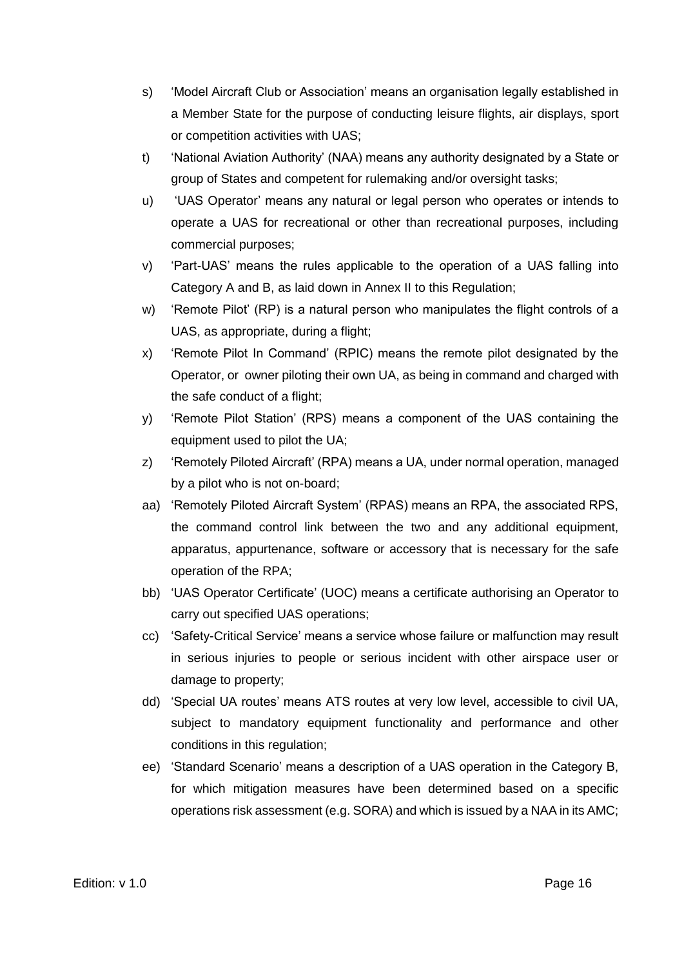- s) 'Model Aircraft Club or Association' means an organisation legally established in a Member State for the purpose of conducting leisure flights, air displays, sport or competition activities with UAS;
- t) 'National Aviation Authority' (NAA) means any authority designated by a State or group of States and competent for rulemaking and/or oversight tasks;
- u) 'UAS Operator' means any natural or legal person who operates or intends to operate a UAS for recreational or other than recreational purposes, including commercial purposes;
- v) 'Part-UAS' means the rules applicable to the operation of a UAS falling into Category A and B, as laid down in Annex II to this Regulation;
- w) 'Remote Pilot' (RP) is a natural person who manipulates the flight controls of a UAS, as appropriate, during a flight;
- x) 'Remote Pilot In Command' (RPIC) means the remote pilot designated by the Operator, or owner piloting their own UA, as being in command and charged with the safe conduct of a flight;
- y) 'Remote Pilot Station' (RPS) means a component of the UAS containing the equipment used to pilot the UA;
- z) 'Remotely Piloted Aircraft' (RPA) means a UA, under normal operation, managed by a pilot who is not on-board;
- aa) 'Remotely Piloted Aircraft System' (RPAS) means an RPA, the associated RPS, the command control link between the two and any additional equipment, apparatus, appurtenance, software or accessory that is necessary for the safe operation of the RPA;
- bb) 'UAS Operator Certificate' (UOC) means a certificate authorising an Operator to carry out specified UAS operations;
- cc) 'Safety-Critical Service' means a service whose failure or malfunction may result in serious injuries to people or serious incident with other airspace user or damage to property;
- dd) 'Special UA routes' means ATS routes at very low level, accessible to civil UA, subject to mandatory equipment functionality and performance and other conditions in this regulation;
- ee) 'Standard Scenario' means a description of a UAS operation in the Category B, for which mitigation measures have been determined based on a specific operations risk assessment (e.g. SORA) and which is issued by a NAA in its AMC;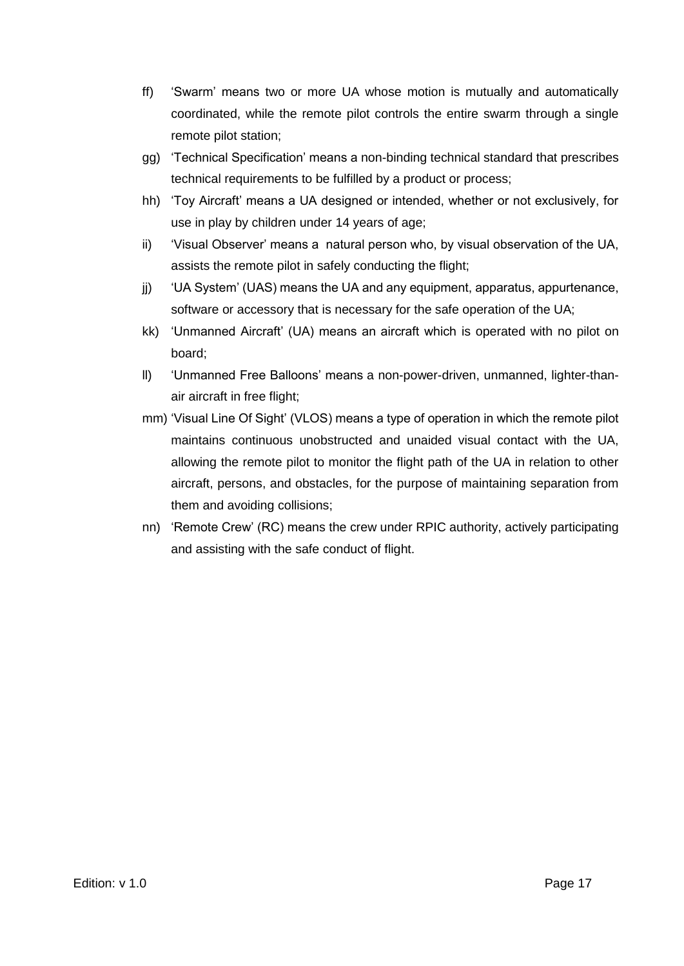- ff) 'Swarm' means two or more UA whose motion is mutually and automatically coordinated, while the remote pilot controls the entire swarm through a single remote pilot station;
- gg) 'Technical Specification' means a non-binding technical standard that prescribes technical requirements to be fulfilled by a product or process;
- hh) 'Toy Aircraft' means a UA designed or intended, whether or not exclusively, for use in play by children under 14 years of age;
- ii) 'Visual Observer' means a natural person who, by visual observation of the UA, assists the remote pilot in safely conducting the flight;
- jj) 'UA System' (UAS) means the UA and any equipment, apparatus, appurtenance, software or accessory that is necessary for the safe operation of the UA;
- kk) 'Unmanned Aircraft' (UA) means an aircraft which is operated with no pilot on board;
- ll) 'Unmanned Free Balloons' means a non-power-driven, unmanned, lighter-thanair aircraft in free flight;
- mm) 'Visual Line Of Sight' (VLOS) means a type of operation in which the remote pilot maintains continuous unobstructed and unaided visual contact with the UA, allowing the remote pilot to monitor the flight path of the UA in relation to other aircraft, persons, and obstacles, for the purpose of maintaining separation from them and avoiding collisions;
- nn) 'Remote Crew' (RC) means the crew under RPIC authority, actively participating and assisting with the safe conduct of flight.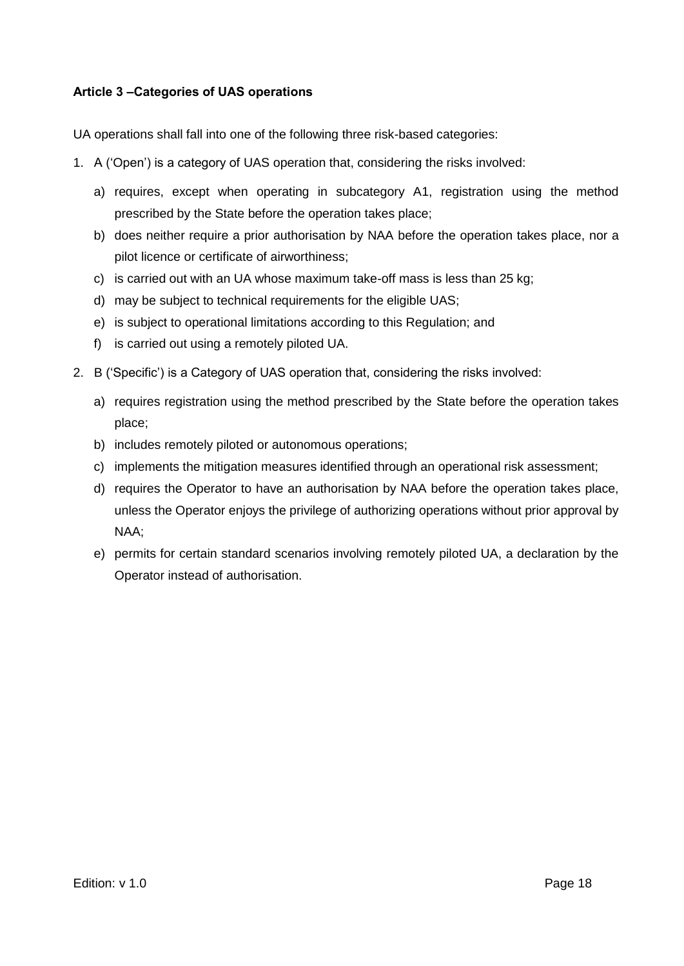#### <span id="page-17-0"></span>**Article 3 –Categories of UAS operations**

UA operations shall fall into one of the following three risk-based categories:

- 1. A ('Open') is a category of UAS operation that, considering the risks involved:
	- a) requires, except when operating in subcategory A1, registration using the method prescribed by the State before the operation takes place;
	- b) does neither require a prior authorisation by NAA before the operation takes place, nor a pilot licence or certificate of airworthiness;
	- c) is carried out with an UA whose maximum take-off mass is less than 25 kg;
	- d) may be subject to technical requirements for the eligible UAS;
	- e) is subject to operational limitations according to this Regulation; and
	- f) is carried out using a remotely piloted UA.
- 2. B ('Specific') is a Category of UAS operation that, considering the risks involved:
	- a) requires registration using the method prescribed by the State before the operation takes place;
	- b) includes remotely piloted or autonomous operations;
	- c) implements the mitigation measures identified through an operational risk assessment;
	- d) requires the Operator to have an authorisation by NAA before the operation takes place, unless the Operator enjoys the privilege of authorizing operations without prior approval by NAA;
	- e) permits for certain standard scenarios involving remotely piloted UA, a declaration by the Operator instead of authorisation.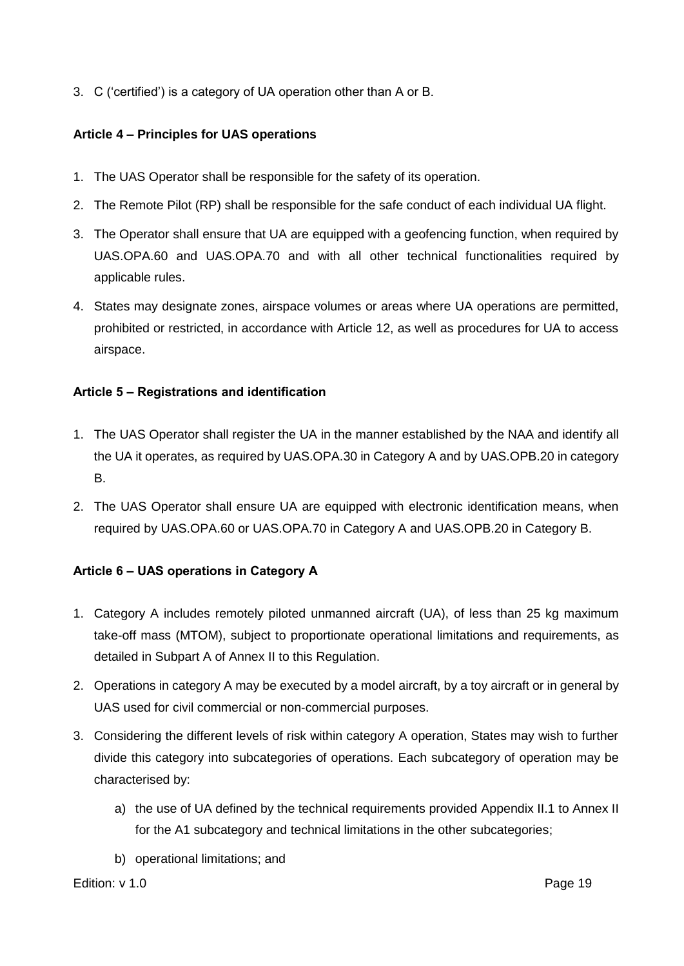3. C ('certified') is a category of UA operation other than A or B.

#### <span id="page-18-0"></span>**Article 4 – Principles for UAS operations**

- 1. The UAS Operator shall be responsible for the safety of its operation.
- 2. The Remote Pilot (RP) shall be responsible for the safe conduct of each individual UA flight.
- 3. The Operator shall ensure that UA are equipped with a geofencing function, when required by UAS.OPA.60 and UAS.OPA.70 and with all other technical functionalities required by applicable rules.
- 4. States may designate zones, airspace volumes or areas where UA operations are permitted, prohibited or restricted, in accordance with Article 12, as well as procedures for UA to access airspace.

#### <span id="page-18-1"></span>**Article 5 – Registrations and identification**

- 1. The UAS Operator shall register the UA in the manner established by the NAA and identify all the UA it operates, as required by UAS.OPA.30 in Category A and by UAS.OPB.20 in category B.
- 2. The UAS Operator shall ensure UA are equipped with electronic identification means, when required by UAS.OPA.60 or UAS.OPA.70 in Category A and UAS.OPB.20 in Category B.

#### <span id="page-18-2"></span>**Article 6 – UAS operations in Category A**

- 1. Category A includes remotely piloted unmanned aircraft (UA), of less than 25 kg maximum take-off mass (MTOM), subject to proportionate operational limitations and requirements, as detailed in Subpart A of Annex II to this Regulation.
- 2. Operations in category A may be executed by a model aircraft, by a toy aircraft or in general by UAS used for civil commercial or non-commercial purposes.
- 3. Considering the different levels of risk within category A operation, States may wish to further divide this category into subcategories of operations. Each subcategory of operation may be characterised by:
	- a) the use of UA defined by the technical requirements provided Appendix II.1 to Annex II for the A1 subcategory and technical limitations in the other subcategories;
	- b) operational limitations; and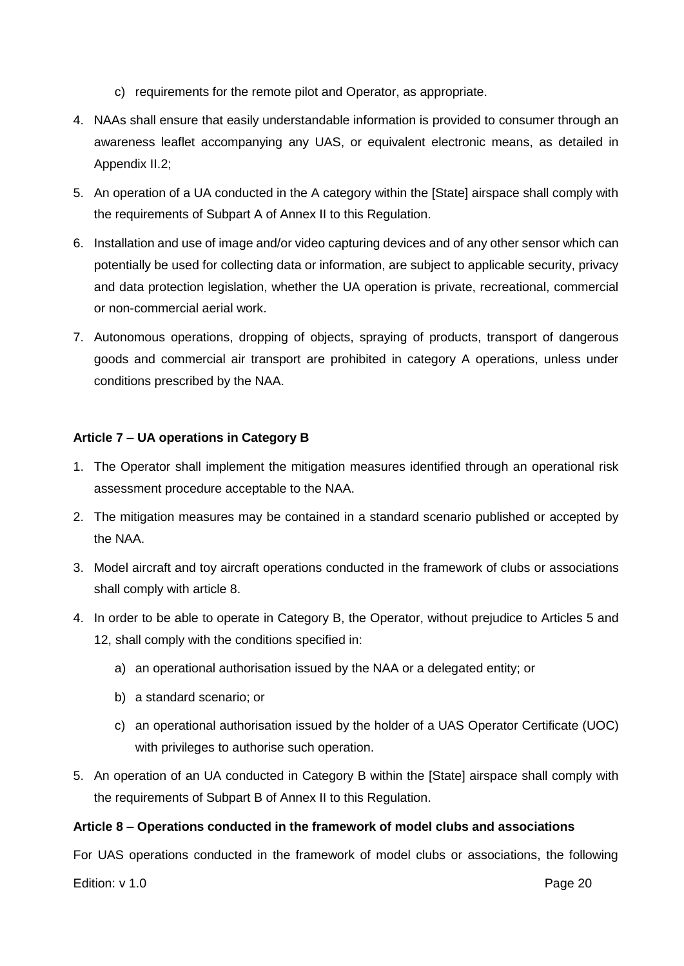- c) requirements for the remote pilot and Operator, as appropriate.
- 4. NAAs shall ensure that easily understandable information is provided to consumer through an awareness leaflet accompanying any UAS, or equivalent electronic means, as detailed in Appendix II.2;
- 5. An operation of a UA conducted in the A category within the [State] airspace shall comply with the requirements of Subpart A of Annex II to this Regulation.
- 6. Installation and use of image and/or video capturing devices and of any other sensor which can potentially be used for collecting data or information, are subject to applicable security, privacy and data protection legislation, whether the UA operation is private, recreational, commercial or non-commercial aerial work.
- 7. Autonomous operations, dropping of objects, spraying of products, transport of dangerous goods and commercial air transport are prohibited in category A operations, unless under conditions prescribed by the NAA.

#### **Article 7 – UA operations in Category B**

- 1. The Operator shall implement the mitigation measures identified through an operational risk assessment procedure acceptable to the NAA.
- 2. The mitigation measures may be contained in a standard scenario published or accepted by the NAA.
- 3. Model aircraft and toy aircraft operations conducted in the framework of clubs or associations shall comply with article 8.
- 4. In order to be able to operate in Category B, the Operator, without prejudice to Articles 5 and 12, shall comply with the conditions specified in:
	- a) an operational authorisation issued by the NAA or a delegated entity; or
	- b) a standard scenario; or
	- c) an operational authorisation issued by the holder of a UAS Operator Certificate (UOC) with privileges to authorise such operation.
- 5. An operation of an UA conducted in Category B within the [State] airspace shall comply with the requirements of Subpart B of Annex II to this Regulation.

#### **Article 8 – Operations conducted in the framework of model clubs and associations**

For UAS operations conducted in the framework of model clubs or associations, the following

Edition: v 1.0 Page 20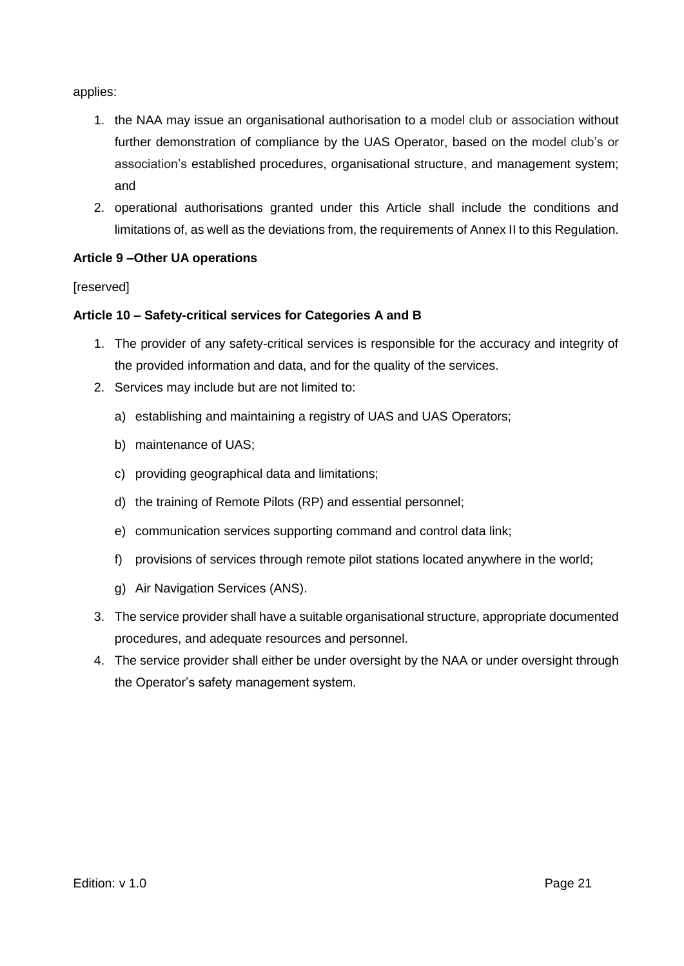applies:

- 1. the NAA may issue an organisational authorisation to a model club or association without further demonstration of compliance by the UAS Operator, based on the model club's or association's established procedures, organisational structure, and management system; and
- 2. operational authorisations granted under this Article shall include the conditions and limitations of, as well as the deviations from, the requirements of Annex II to this Regulation.

#### **Article 9 –Other UA operations**

**[reserved]** 

#### **Article 10 – Safety-critical services for Categories A and B**

- 1. The provider of any safety-critical services is responsible for the accuracy and integrity of the provided information and data, and for the quality of the services.
- 2. Services may include but are not limited to:
	- a) establishing and maintaining a registry of UAS and UAS Operators;
	- b) maintenance of UAS;
	- c) providing geographical data and limitations;
	- d) the training of Remote Pilots (RP) and essential personnel;
	- e) communication services supporting command and control data link;
	- f) provisions of services through remote pilot stations located anywhere in the world;
	- g) Air Navigation Services (ANS).
- 3. The service provider shall have a suitable organisational structure, appropriate documented procedures, and adequate resources and personnel.
- 4. The service provider shall either be under oversight by the NAA or under oversight through the Operator's safety management system.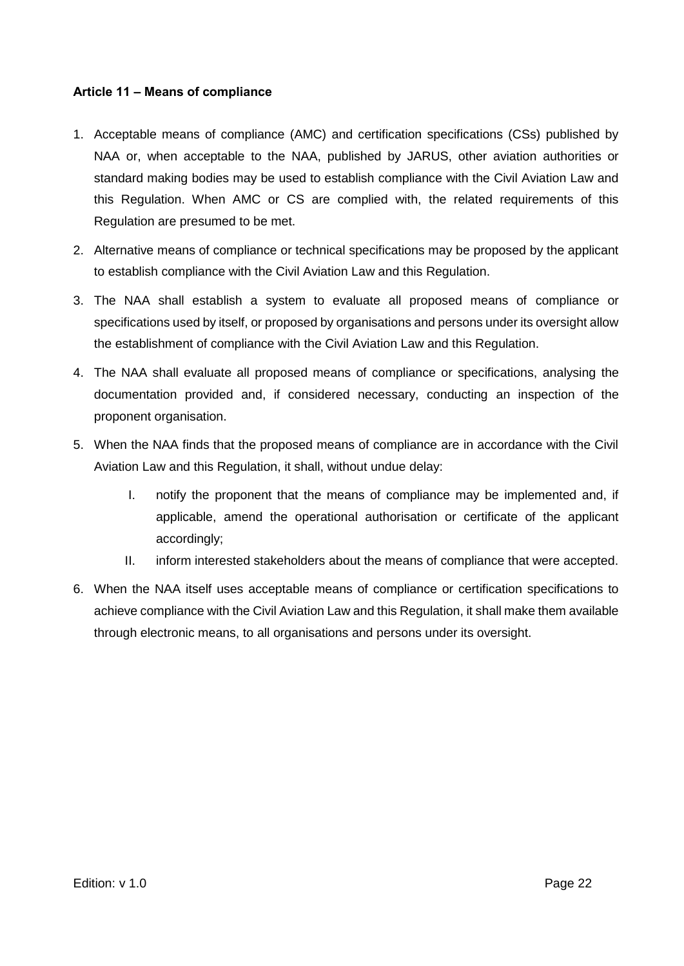#### <span id="page-21-0"></span>**Article 11 – Means of compliance**

- 1. Acceptable means of compliance (AMC) and certification specifications (CSs) published by NAA or, when acceptable to the NAA, published by JARUS, other aviation authorities or standard making bodies may be used to establish compliance with the Civil Aviation Law and this Regulation. When AMC or CS are complied with, the related requirements of this Regulation are presumed to be met.
- 2. Alternative means of compliance or technical specifications may be proposed by the applicant to establish compliance with the Civil Aviation Law and this Regulation.
- 3. The NAA shall establish a system to evaluate all proposed means of compliance or specifications used by itself, or proposed by organisations and persons under its oversight allow the establishment of compliance with the Civil Aviation Law and this Regulation.
- 4. The NAA shall evaluate all proposed means of compliance or specifications, analysing the documentation provided and, if considered necessary, conducting an inspection of the proponent organisation.
- 5. When the NAA finds that the proposed means of compliance are in accordance with the Civil Aviation Law and this Regulation, it shall, without undue delay:
	- I. notify the proponent that the means of compliance may be implemented and, if applicable, amend the operational authorisation or certificate of the applicant accordingly;
	- II. inform interested stakeholders about the means of compliance that were accepted.
- 6. When the NAA itself uses acceptable means of compliance or certification specifications to achieve compliance with the Civil Aviation Law and this Regulation, it shall make them available through electronic means, to all organisations and persons under its oversight.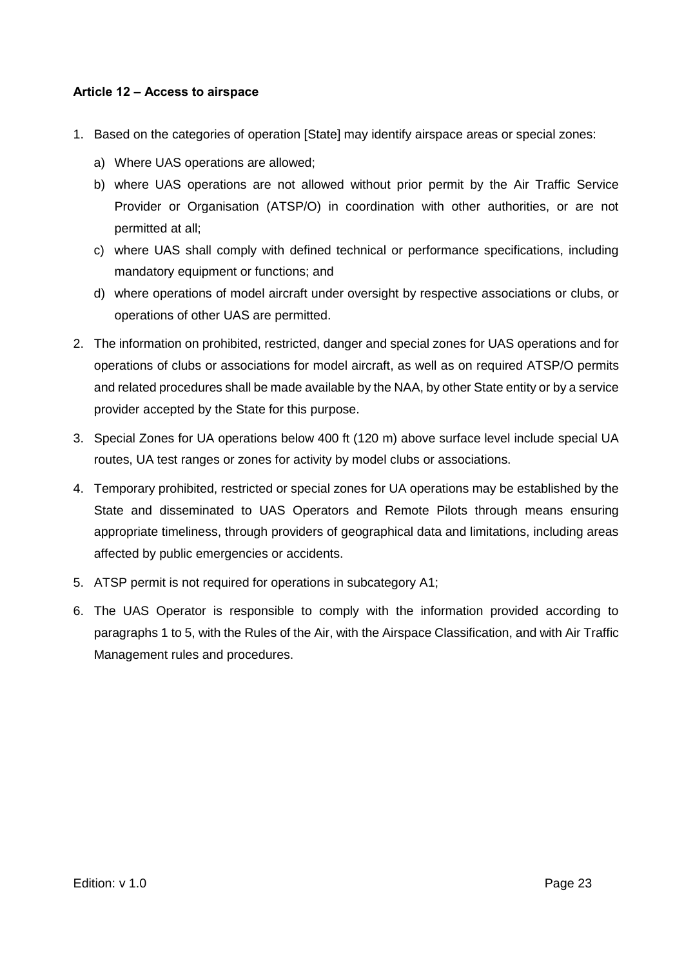#### <span id="page-22-0"></span>**Article 12 – Access to airspace**

- 1. Based on the categories of operation [State] may identify airspace areas or special zones:
	- a) Where UAS operations are allowed;
	- b) where UAS operations are not allowed without prior permit by the Air Traffic Service Provider or Organisation (ATSP/O) in coordination with other authorities, or are not permitted at all;
	- c) where UAS shall comply with defined technical or performance specifications, including mandatory equipment or functions; and
	- d) where operations of model aircraft under oversight by respective associations or clubs, or operations of other UAS are permitted.
- 2. The information on prohibited, restricted, danger and special zones for UAS operations and for operations of clubs or associations for model aircraft, as well as on required ATSP/O permits and related procedures shall be made available by the NAA, by other State entity or by a service provider accepted by the State for this purpose.
- 3. Special Zones for UA operations below 400 ft (120 m) above surface level include special UA routes, UA test ranges or zones for activity by model clubs or associations.
- 4. Temporary prohibited, restricted or special zones for UA operations may be established by the State and disseminated to UAS Operators and Remote Pilots through means ensuring appropriate timeliness, through providers of geographical data and limitations, including areas affected by public emergencies or accidents.
- 5. ATSP permit is not required for operations in subcategory A1;
- 6. The UAS Operator is responsible to comply with the information provided according to paragraphs 1 to 5, with the Rules of the Air, with the Airspace Classification, and with Air Traffic Management rules and procedures.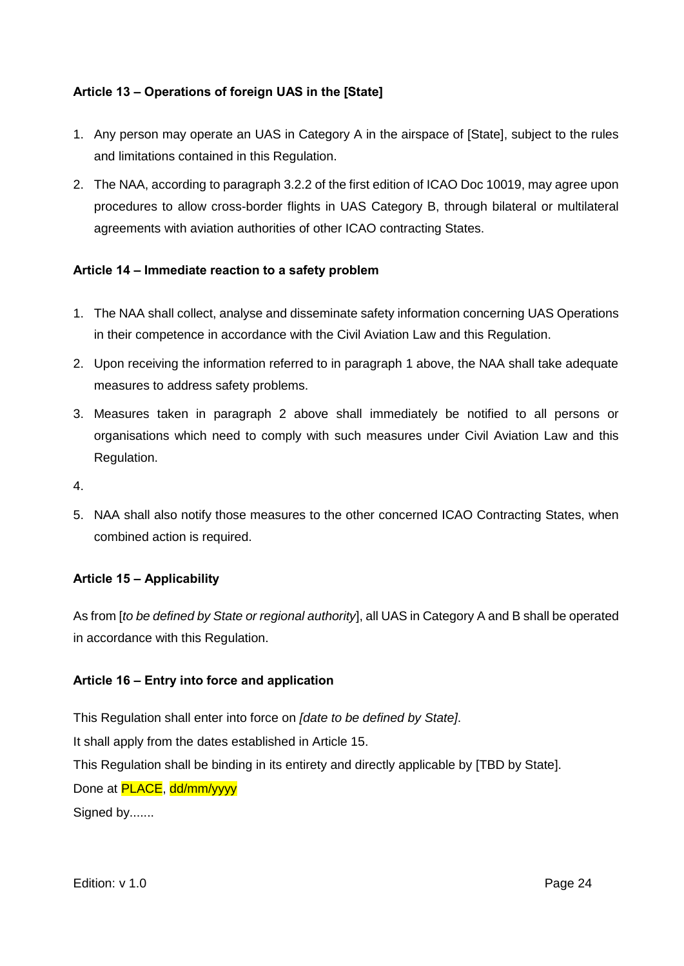#### <span id="page-23-0"></span>**Article 13 – Operations of foreign UAS in the [State]**

- 1. Any person may operate an UAS in Category A in the airspace of [State], subject to the rules and limitations contained in this Regulation.
- 2. The NAA, according to paragraph 3.2.2 of the first edition of ICAO Doc 10019, may agree upon procedures to allow cross-border flights in UAS Category B, through bilateral or multilateral agreements with aviation authorities of other ICAO contracting States.

#### <span id="page-23-1"></span>**Article 14 – Immediate reaction to a safety problem**

- 1. The NAA shall collect, analyse and disseminate safety information concerning UAS Operations in their competence in accordance with the Civil Aviation Law and this Regulation.
- 2. Upon receiving the information referred to in paragraph 1 above, the NAA shall take adequate measures to address safety problems.
- 3. Measures taken in paragraph 2 above shall immediately be notified to all persons or organisations which need to comply with such measures under Civil Aviation Law and this Regulation.
- 4.
- 5. NAA shall also notify those measures to the other concerned ICAO Contracting States, when combined action is required.

#### <span id="page-23-2"></span>**Article 15 – Applicability**

As from [*to be defined by State or regional authority*], all UAS in Category A and B shall be operated in accordance with this Regulation.

#### <span id="page-23-3"></span>**Article 16 – Entry into force and application**

This Regulation shall enter into force on *[date to be defined by State]*. It shall apply from the dates established in Article 15. This Regulation shall be binding in its entirety and directly applicable by [TBD by State]. Done at **PLACE**, dd/mm/yyyy Signed by.......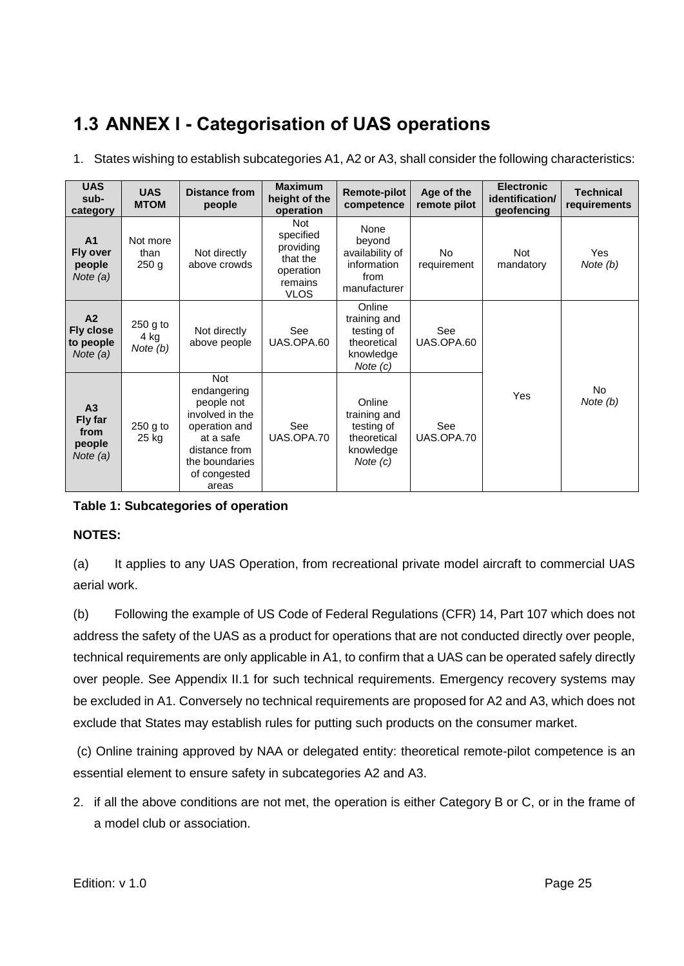### <span id="page-24-0"></span>**1.3 ANNEX I - Categorisation of UAS operations**

1. States wishing to establish subcategories A1, A2 or A3, shall consider the following characteristics:

| <b>UAS</b><br>sub-<br>category                                | <b>UAS</b><br><b>MTOM</b>            | <b>Distance from</b><br>people                                                                                                                       | <b>Maximum</b><br>height of the<br>operation                                            | <b>Remote-pilot</b><br>competence                                              | Age of the<br>remote pilot | <b>Electronic</b><br>identification/<br>geofencing | <b>Technical</b><br>requirements |
|---------------------------------------------------------------|--------------------------------------|------------------------------------------------------------------------------------------------------------------------------------------------------|-----------------------------------------------------------------------------------------|--------------------------------------------------------------------------------|----------------------------|----------------------------------------------------|----------------------------------|
| A <sub>1</sub><br>Fly over<br>people<br>Note $(a)$            | Not more<br>than<br>250 <sub>g</sub> | Not directly<br>above crowds                                                                                                                         | <b>Not</b><br>specified<br>providing<br>that the<br>operation<br>remains<br><b>VLOS</b> | None<br>beyond<br>availability of<br>information<br>from<br>manufacturer       | No.<br>requirement         | <b>Not</b><br>mandatory                            | Yes<br>Note (b)                  |
| A <sub>2</sub><br><b>Fly close</b><br>to people<br>Note $(a)$ | 250 g to<br>4 kg<br>Note $(b)$       | Not directly<br>above people                                                                                                                         | See<br>UAS.OPA.60                                                                       | Online<br>training and<br>testing of<br>theoretical<br>knowledge<br>Note $(c)$ | See<br>UAS.OPA.60          |                                                    |                                  |
| A <sub>3</sub><br>Fly far<br>from<br>people<br>Note (a)       | 250 g to<br>25 kg                    | <b>Not</b><br>endangering<br>people not<br>involved in the<br>operation and<br>at a safe<br>distance from<br>the boundaries<br>of congested<br>areas | See<br>UAS.OPA.70                                                                       | Online<br>training and<br>testing of<br>theoretical<br>knowledge<br>Note $(c)$ | See<br>UAS.OPA.70          | <b>Yes</b>                                         | <b>No</b><br>Note $(b)$          |

#### **Table 1: Subcategories of operation**

#### **NOTES:**

(a) It applies to any UAS Operation, from recreational private model aircraft to commercial UAS aerial work.

(b) Following the example of US Code of Federal Regulations (CFR) 14, Part 107 which does not address the safety of the UAS as a product for operations that are not conducted directly over people, technical requirements are only applicable in A1, to confirm that a UAS can be operated safely directly over people. See Appendix II.1 for such technical requirements. Emergency recovery systems may be excluded in A1. Conversely no technical requirements are proposed for A2 and A3, which does not exclude that States may establish rules for putting such products on the consumer market.

(c) Online training approved by NAA or delegated entity: theoretical remote-pilot competence is an essential element to ensure safety in subcategories A2 and A3.

2. if all the above conditions are not met, the operation is either Category B or C, or in the frame of a model club or association.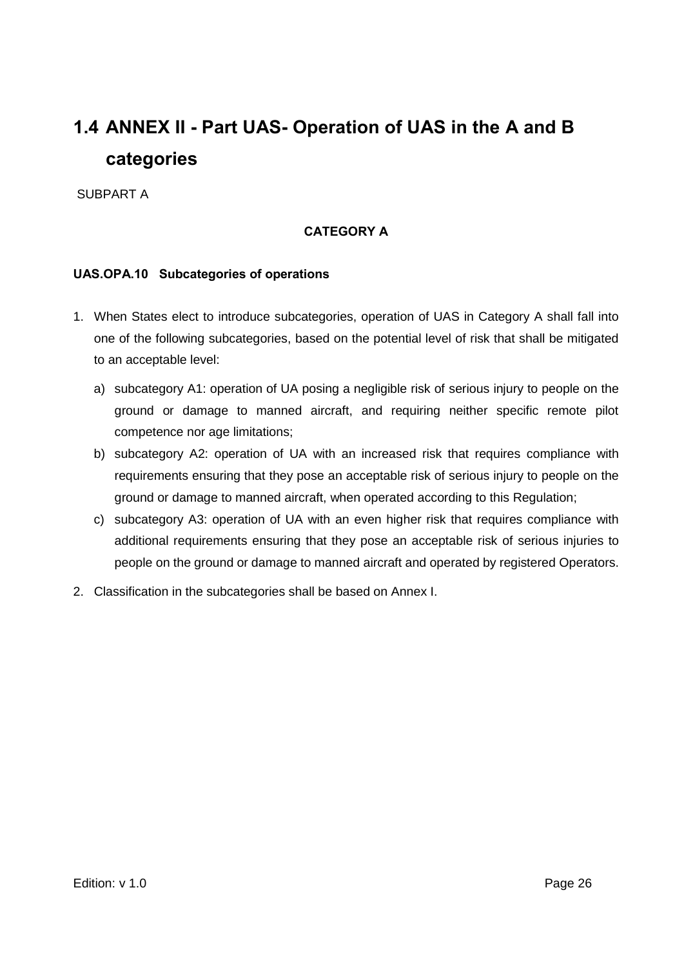### <span id="page-25-0"></span>**1.4 ANNEX II - Part UAS- Operation of UAS in the A and B categories**

<span id="page-25-1"></span>SUBPART A

#### **CATEGORY A**

#### <span id="page-25-2"></span>**UAS.OPA.10 Subcategories of operations**

- 1. When States elect to introduce subcategories, operation of UAS in Category A shall fall into one of the following subcategories, based on the potential level of risk that shall be mitigated to an acceptable level:
	- a) subcategory A1: operation of UA posing a negligible risk of serious injury to people on the ground or damage to manned aircraft, and requiring neither specific remote pilot competence nor age limitations;
	- b) subcategory A2: operation of UA with an increased risk that requires compliance with requirements ensuring that they pose an acceptable risk of serious injury to people on the ground or damage to manned aircraft, when operated according to this Regulation;
	- c) subcategory A3: operation of UA with an even higher risk that requires compliance with additional requirements ensuring that they pose an acceptable risk of serious injuries to people on the ground or damage to manned aircraft and operated by registered Operators.
- 2. Classification in the subcategories shall be based on Annex I.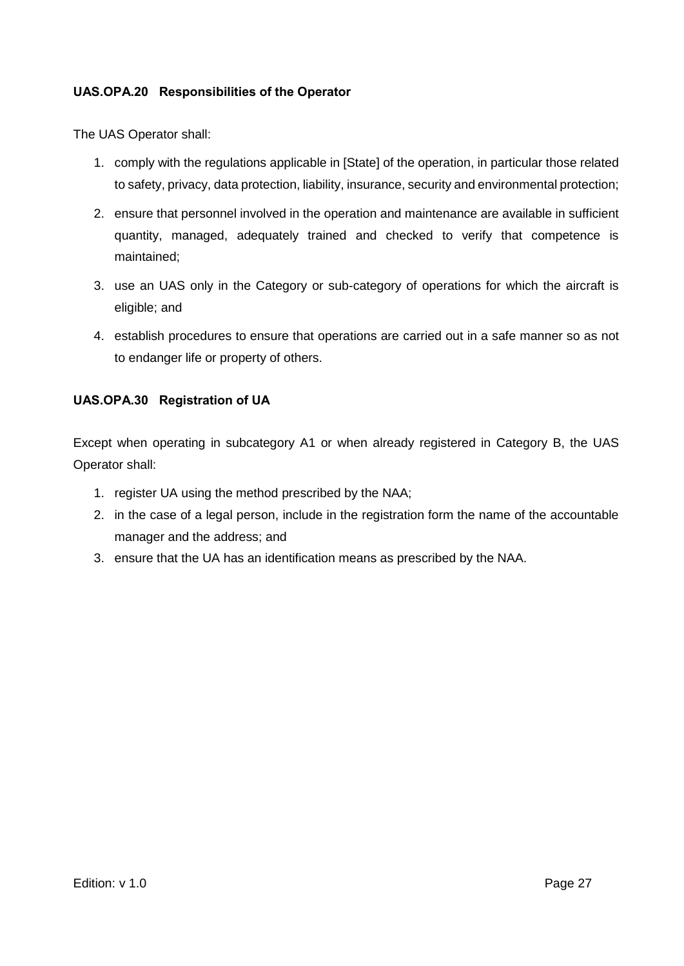#### <span id="page-26-0"></span>**UAS.OPA.20 Responsibilities of the Operator**

The UAS Operator shall:

- 1. comply with the regulations applicable in [State] of the operation, in particular those related to safety, privacy, data protection, liability, insurance, security and environmental protection;
- 2. ensure that personnel involved in the operation and maintenance are available in sufficient quantity, managed, adequately trained and checked to verify that competence is maintained;
- 3. use an UAS only in the Category or sub-category of operations for which the aircraft is eligible; and
- 4. establish procedures to ensure that operations are carried out in a safe manner so as not to endanger life or property of others.

#### <span id="page-26-1"></span>**UAS.OPA.30 Registration of UA**

Except when operating in subcategory A1 or when already registered in Category B, the UAS Operator shall:

- 1. register UA using the method prescribed by the NAA;
- 2. in the case of a legal person, include in the registration form the name of the accountable manager and the address; and
- 3. ensure that the UA has an identification means as prescribed by the NAA.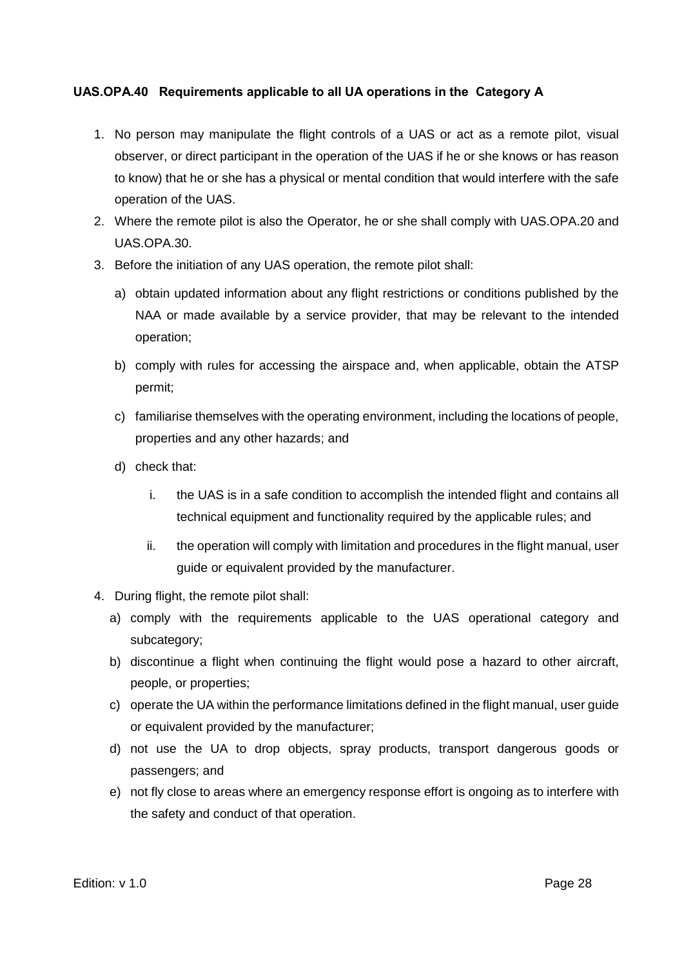#### <span id="page-27-0"></span>**UAS.OPA.40 Requirements applicable to all UA operations in the Category A**

- 1. No person may manipulate the flight controls of a UAS or act as a remote pilot, visual observer, or direct participant in the operation of the UAS if he or she knows or has reason to know) that he or she has a physical or mental condition that would interfere with the safe operation of the UAS.
- 2. Where the remote pilot is also the Operator, he or she shall comply with UAS.OPA.20 and UAS.OPA.30.
- 3. Before the initiation of any UAS operation, the remote pilot shall:
	- a) obtain updated information about any flight restrictions or conditions published by the NAA or made available by a service provider, that may be relevant to the intended operation;
	- b) comply with rules for accessing the airspace and, when applicable, obtain the ATSP permit;
	- c) familiarise themselves with the operating environment, including the locations of people, properties and any other hazards; and
	- d) check that:
		- i. the UAS is in a safe condition to accomplish the intended flight and contains all technical equipment and functionality required by the applicable rules; and
		- ii. the operation will comply with limitation and procedures in the flight manual, user guide or equivalent provided by the manufacturer.
- 4. During flight, the remote pilot shall:
	- a) comply with the requirements applicable to the UAS operational category and subcategory;
	- b) discontinue a flight when continuing the flight would pose a hazard to other aircraft, people, or properties;
	- c) operate the UA within the performance limitations defined in the flight manual, user guide or equivalent provided by the manufacturer;
	- d) not use the UA to drop objects, spray products, transport dangerous goods or passengers; and
	- e) not fly close to areas where an emergency response effort is ongoing as to interfere with the safety and conduct of that operation.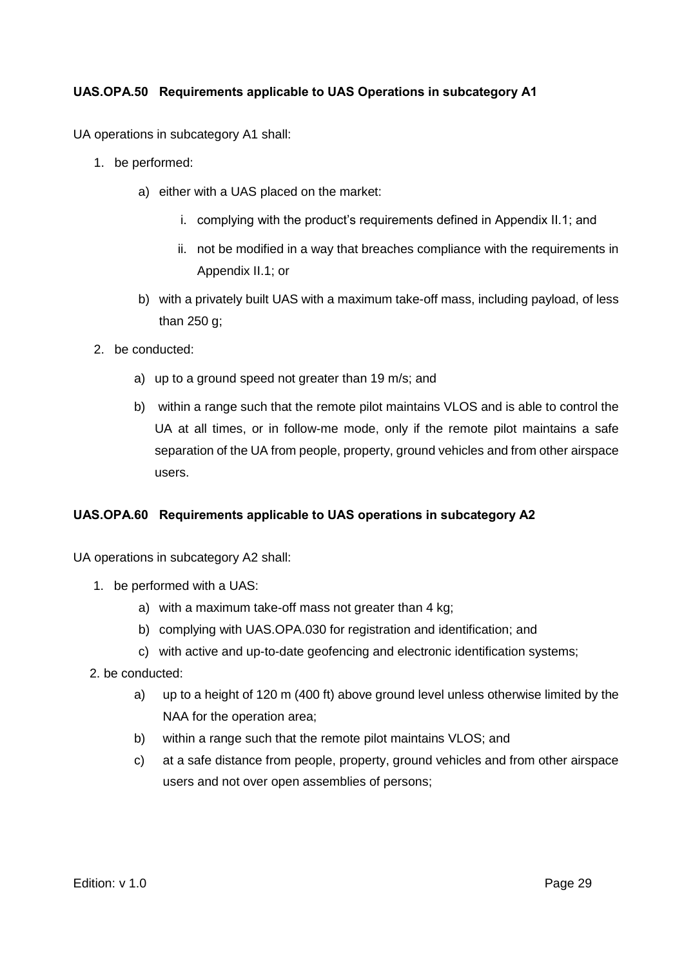#### <span id="page-28-0"></span>**UAS.OPA.50 Requirements applicable to UAS Operations in subcategory A1**

UA operations in subcategory A1 shall:

- 1. be performed:
	- a) either with a UAS placed on the market:
		- i. complying with the product's requirements defined in Appendix II.1; and
		- ii. not be modified in a way that breaches compliance with the requirements in Appendix II.1; or
	- b) with a privately built UAS with a maximum take-off mass, including payload, of less than 250 g;
- 2. be conducted:
	- a) up to a ground speed not greater than 19 m/s; and
	- b) within a range such that the remote pilot maintains VLOS and is able to control the UA at all times, or in follow-me mode, only if the remote pilot maintains a safe separation of the UA from people, property, ground vehicles and from other airspace users.

#### <span id="page-28-1"></span>**UAS.OPA.60 Requirements applicable to UAS operations in subcategory A2**

UA operations in subcategory A2 shall:

- 1. be performed with a UAS:
	- a) with a maximum take-off mass not greater than 4 kg;
	- b) complying with UAS.OPA.030 for registration and identification; and
	- c) with active and up-to-date geofencing and electronic identification systems;
- 2. be conducted:
	- a) up to a height of 120 m (400 ft) above ground level unless otherwise limited by the NAA for the operation area;
	- b) within a range such that the remote pilot maintains VLOS; and
	- c) at a safe distance from people, property, ground vehicles and from other airspace users and not over open assemblies of persons;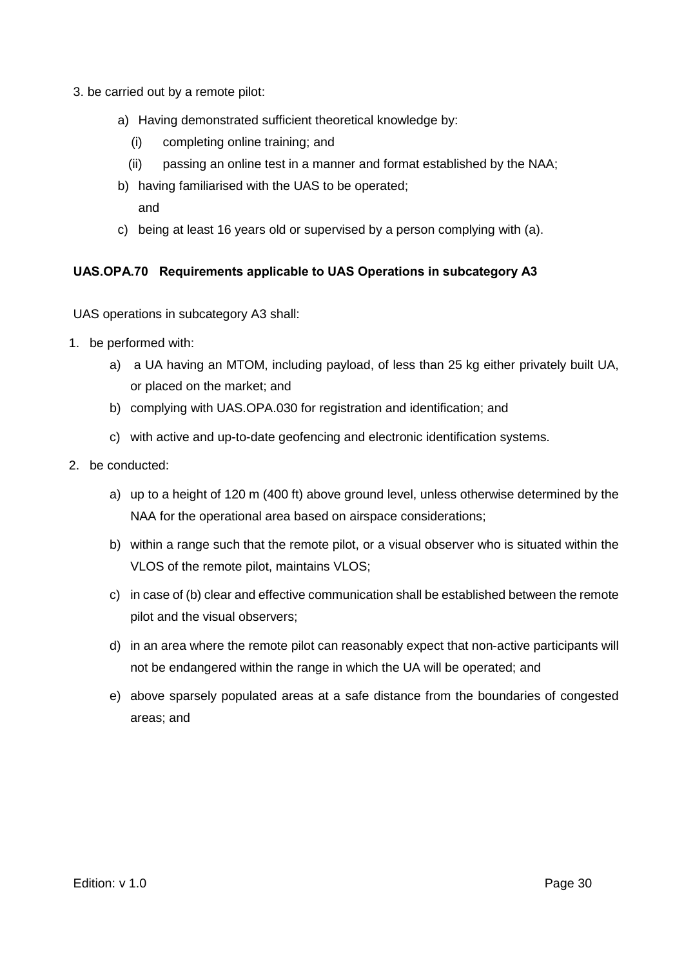- 3. be carried out by a remote pilot:
	- a) Having demonstrated sufficient theoretical knowledge by:
		- (i) completing online training; and
		- (ii) passing an online test in a manner and format established by the NAA;
	- b) having familiarised with the UAS to be operated; and
	- c) being at least 16 years old or supervised by a person complying with (a).

#### <span id="page-29-0"></span>**UAS.OPA.70 Requirements applicable to UAS Operations in subcategory A3**

UAS operations in subcategory A3 shall:

- 1. be performed with:
	- a) a UA having an MTOM, including payload, of less than 25 kg either privately built UA, or placed on the market; and
	- b) complying with UAS.OPA.030 for registration and identification; and
	- c) with active and up-to-date geofencing and electronic identification systems.
- 2. be conducted:
	- a) up to a height of 120 m (400 ft) above ground level, unless otherwise determined by the NAA for the operational area based on airspace considerations;
	- b) within a range such that the remote pilot, or a visual observer who is situated within the VLOS of the remote pilot, maintains VLOS;
	- c) in case of (b) clear and effective communication shall be established between the remote pilot and the visual observers;
	- d) in an area where the remote pilot can reasonably expect that non-active participants will not be endangered within the range in which the UA will be operated; and
	- e) above sparsely populated areas at a safe distance from the boundaries of congested areas; and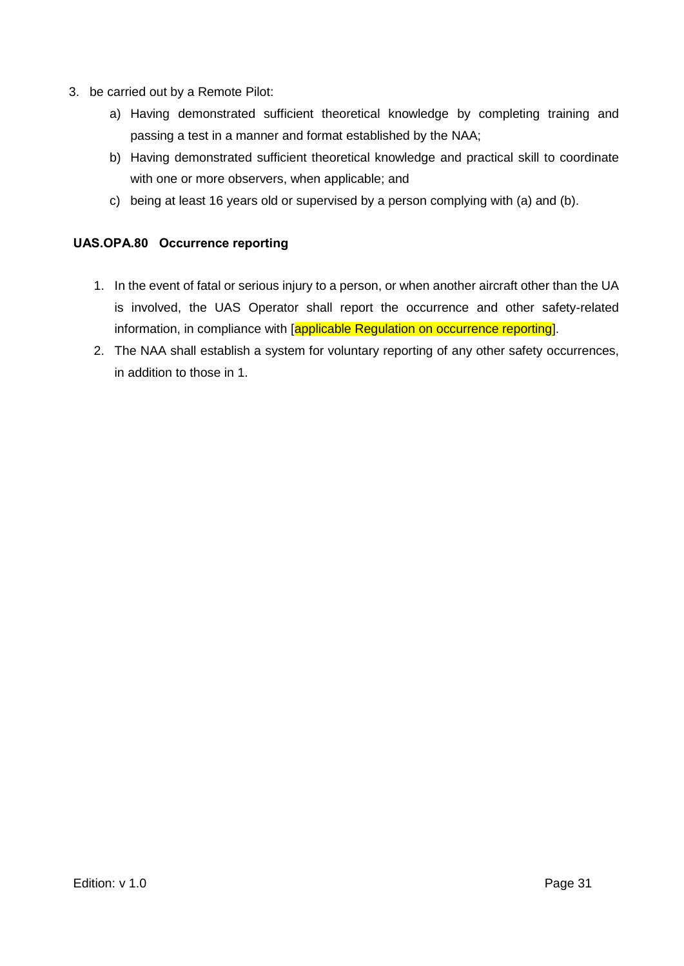- 3. be carried out by a Remote Pilot:
	- a) Having demonstrated sufficient theoretical knowledge by completing training and passing a test in a manner and format established by the NAA;
	- b) Having demonstrated sufficient theoretical knowledge and practical skill to coordinate with one or more observers, when applicable; and
	- c) being at least 16 years old or supervised by a person complying with (a) and (b).

#### <span id="page-30-0"></span>**UAS.OPA.80 Occurrence reporting**

- 1. In the event of fatal or serious injury to a person, or when another aircraft other than the UA is involved, the UAS Operator shall report the occurrence and other safety-related information, in compliance with [applicable Regulation on occurrence reporting].
- 2. The NAA shall establish a system for voluntary reporting of any other safety occurrences, in addition to those in 1.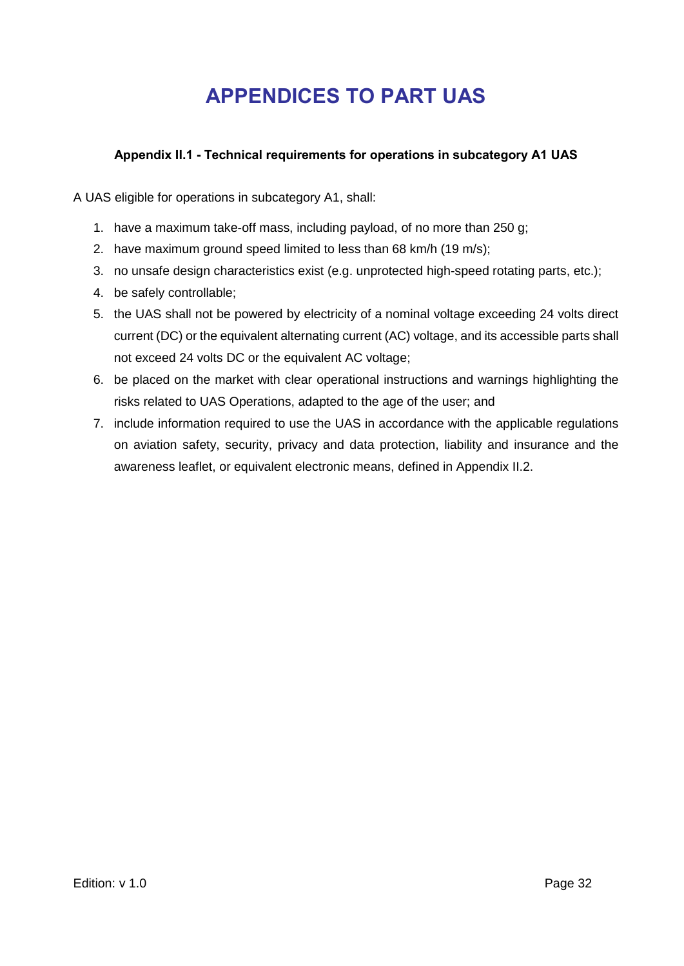### **APPENDICES TO PART UAS**

#### <span id="page-31-0"></span>**Appendix II.1 - Technical requirements for operations in subcategory A1 UAS**

<span id="page-31-1"></span>A UAS eligible for operations in subcategory A1, shall:

- 1. have a maximum take-off mass, including payload, of no more than 250 g;
- 2. have maximum ground speed limited to less than 68 km/h (19 m/s);
- 3. no unsafe design characteristics exist (e.g. unprotected high-speed rotating parts, etc.);
- 4. be safely controllable;
- 5. the UAS shall not be powered by electricity of a nominal voltage exceeding 24 volts direct current (DC) or the equivalent alternating current (AC) voltage, and its accessible parts shall not exceed 24 volts DC or the equivalent AC voltage;
- 6. be placed on the market with clear operational instructions and warnings highlighting the risks related to UAS Operations, adapted to the age of the user; and
- 7. include information required to use the UAS in accordance with the applicable regulations on aviation safety, security, privacy and data protection, liability and insurance and the awareness leaflet, or equivalent electronic means, defined in Appendix II.2.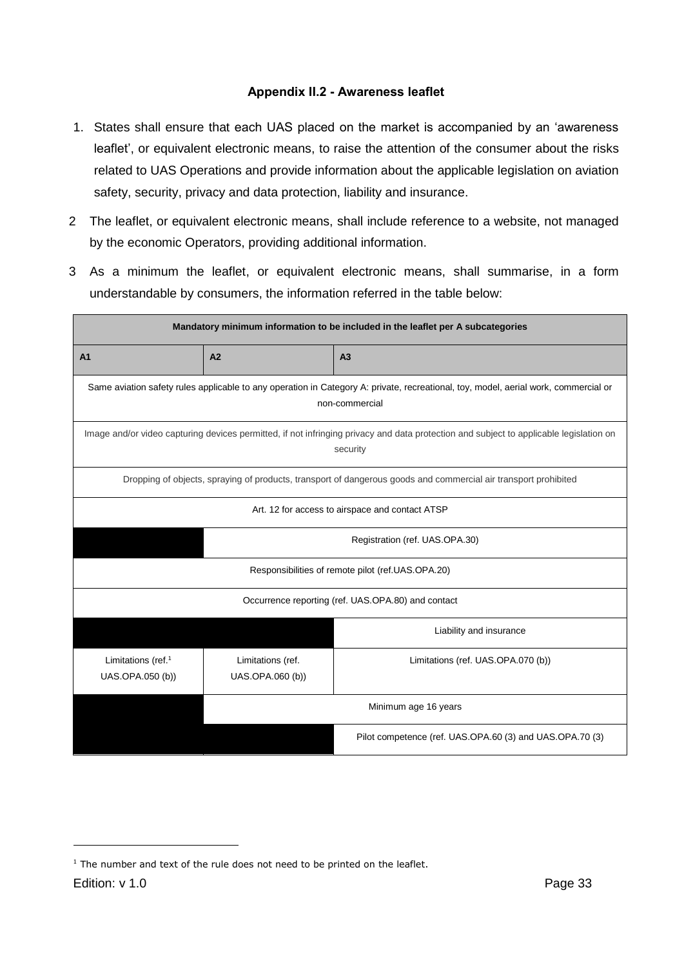#### **Appendix II.2 - Awareness leaflet**

- <span id="page-32-0"></span>1. States shall ensure that each UAS placed on the market is accompanied by an 'awareness leaflet', or equivalent electronic means, to raise the attention of the consumer about the risks related to UAS Operations and provide information about the applicable legislation on aviation safety, security, privacy and data protection, liability and insurance.
- 2 The leaflet, or equivalent electronic means, shall include reference to a website, not managed by the economic Operators, providing additional information.
- 3 As a minimum the leaflet, or equivalent electronic means, shall summarise, in a form understandable by consumers, the information referred in the table below:

| Mandatory minimum information to be included in the leaflet per A subcategories |                                                                                                                                                       |                                                                                                                 |  |  |  |  |
|---------------------------------------------------------------------------------|-------------------------------------------------------------------------------------------------------------------------------------------------------|-----------------------------------------------------------------------------------------------------------------|--|--|--|--|
| A <sub>1</sub>                                                                  | A2<br>A <sub>3</sub>                                                                                                                                  |                                                                                                                 |  |  |  |  |
|                                                                                 | Same aviation safety rules applicable to any operation in Category A: private, recreational, toy, model, aerial work, commercial or<br>non-commercial |                                                                                                                 |  |  |  |  |
|                                                                                 | Image and/or video capturing devices permitted, if not infringing privacy and data protection and subject to applicable legislation on<br>security    |                                                                                                                 |  |  |  |  |
|                                                                                 |                                                                                                                                                       | Dropping of objects, spraying of products, transport of dangerous goods and commercial air transport prohibited |  |  |  |  |
|                                                                                 | Art. 12 for access to airspace and contact ATSP                                                                                                       |                                                                                                                 |  |  |  |  |
|                                                                                 | Registration (ref. UAS.OPA.30)                                                                                                                        |                                                                                                                 |  |  |  |  |
| Responsibilities of remote pilot (ref.UAS.OPA.20)                               |                                                                                                                                                       |                                                                                                                 |  |  |  |  |
|                                                                                 | Occurrence reporting (ref. UAS.OPA.80) and contact                                                                                                    |                                                                                                                 |  |  |  |  |
|                                                                                 | Liability and insurance                                                                                                                               |                                                                                                                 |  |  |  |  |
| Limitations (ref. <sup>1</sup><br>UAS.OPA.050 (b))                              | Limitations (ref.<br>UAS.OPA.060 (b))                                                                                                                 | Limitations (ref. UAS.OPA.070 (b))                                                                              |  |  |  |  |
|                                                                                 | Minimum age 16 years                                                                                                                                  |                                                                                                                 |  |  |  |  |
| Pilot competence (ref. UAS.OPA.60 (3) and UAS.OPA.70 (3)                        |                                                                                                                                                       |                                                                                                                 |  |  |  |  |

 $1$  The number and text of the rule does not need to be printed on the leaflet.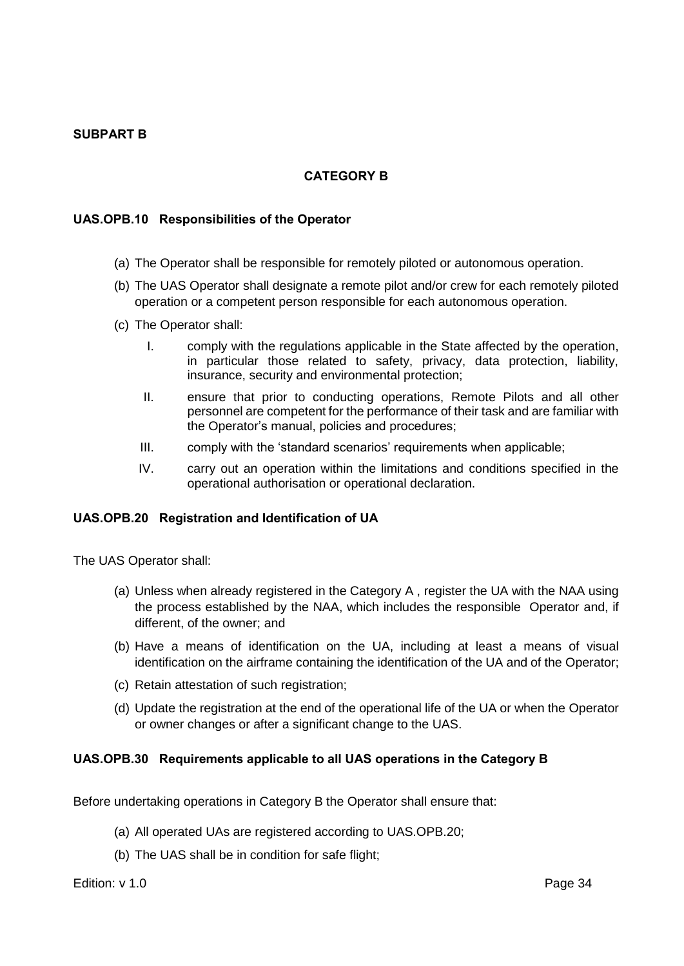#### <span id="page-33-0"></span>**SUBPART B**

#### **CATEGORY B**

#### <span id="page-33-2"></span><span id="page-33-1"></span>**UAS.OPB.10 Responsibilities of the Operator**

- (a) The Operator shall be responsible for remotely piloted or autonomous operation.
- (b) The UAS Operator shall designate a remote pilot and/or crew for each remotely piloted operation or a competent person responsible for each autonomous operation.
- (c) The Operator shall:
	- I. comply with the regulations applicable in the State affected by the operation, in particular those related to safety, privacy, data protection, liability, insurance, security and environmental protection;
	- II. ensure that prior to conducting operations, Remote Pilots and all other personnel are competent for the performance of their task and are familiar with the Operator's manual, policies and procedures;
	- III. comply with the 'standard scenarios' requirements when applicable;
	- IV. carry out an operation within the limitations and conditions specified in the operational authorisation or operational declaration.

#### <span id="page-33-3"></span>**UAS.OPB.20 Registration and Identification of UA**

The UAS Operator shall:

- (a) Unless when already registered in the Category A , register the UA with the NAA using the process established by the NAA, which includes the responsible Operator and, if different, of the owner; and
- (b) Have a means of identification on the UA, including at least a means of visual identification on the airframe containing the identification of the UA and of the Operator;
- (c) Retain attestation of such registration;
- (d) Update the registration at the end of the operational life of the UA or when the Operator or owner changes or after a significant change to the UAS.

#### <span id="page-33-4"></span>**UAS.OPB.30 Requirements applicable to all UAS operations in the Category B**

Before undertaking operations in Category B the Operator shall ensure that:

- (a) All operated UAs are registered according to UAS.OPB.20;
- (b) The UAS shall be in condition for safe flight;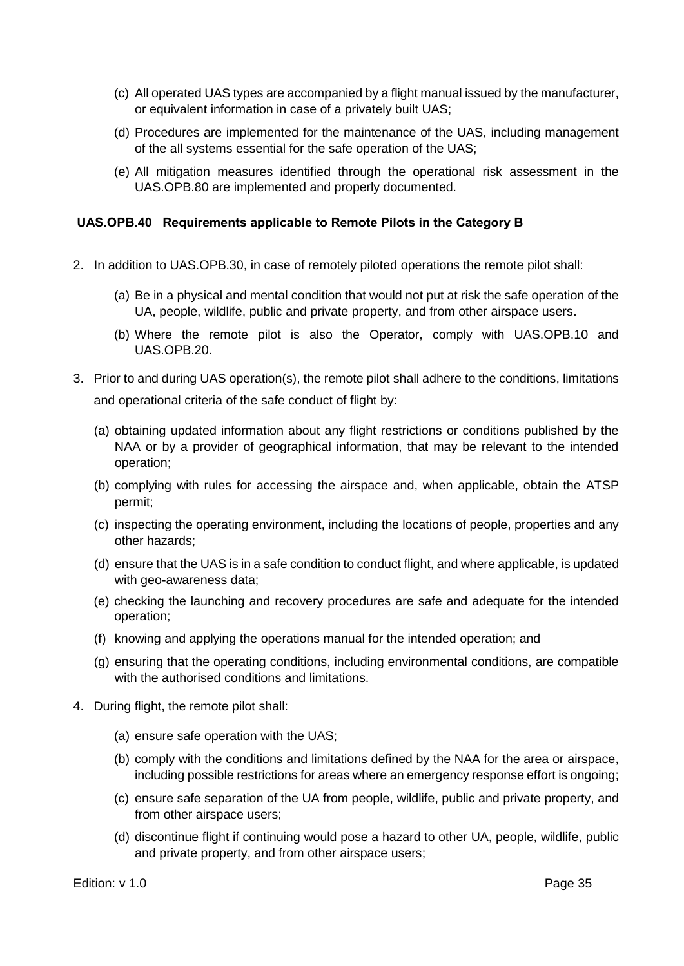- (c) All operated UAS types are accompanied by a flight manual issued by the manufacturer, or equivalent information in case of a privately built UAS;
- (d) Procedures are implemented for the maintenance of the UAS, including management of the all systems essential for the safe operation of the UAS;
- (e) All mitigation measures identified through the operational risk assessment in the UAS.OPB.80 are implemented and properly documented.

#### <span id="page-34-0"></span>**UAS.OPB.40 Requirements applicable to Remote Pilots in the Category B**

- 2. In addition to UAS.OPB.30, in case of remotely piloted operations the remote pilot shall:
	- (a) Be in a physical and mental condition that would not put at risk the safe operation of the UA, people, wildlife, public and private property, and from other airspace users.
	- (b) Where the remote pilot is also the Operator, comply with UAS.OPB.10 and UAS.OPB.20.
- 3. Prior to and during UAS operation(s), the remote pilot shall adhere to the conditions, limitations and operational criteria of the safe conduct of flight by:
	- (a) obtaining updated information about any flight restrictions or conditions published by the NAA or by a provider of geographical information, that may be relevant to the intended operation;
	- (b) complying with rules for accessing the airspace and, when applicable, obtain the ATSP permit;
	- (c) inspecting the operating environment, including the locations of people, properties and any other hazards;
	- (d) ensure that the UAS is in a safe condition to conduct flight, and where applicable, is updated with geo-awareness data;
	- (e) checking the launching and recovery procedures are safe and adequate for the intended operation;
	- (f) knowing and applying the operations manual for the intended operation; and
	- (g) ensuring that the operating conditions, including environmental conditions, are compatible with the authorised conditions and limitations.
- 4. During flight, the remote pilot shall:
	- (a) ensure safe operation with the UAS;
	- (b) comply with the conditions and limitations defined by the NAA for the area or airspace, including possible restrictions for areas where an emergency response effort is ongoing;
	- (c) ensure safe separation of the UA from people, wildlife, public and private property, and from other airspace users;
	- (d) discontinue flight if continuing would pose a hazard to other UA, people, wildlife, public and private property, and from other airspace users;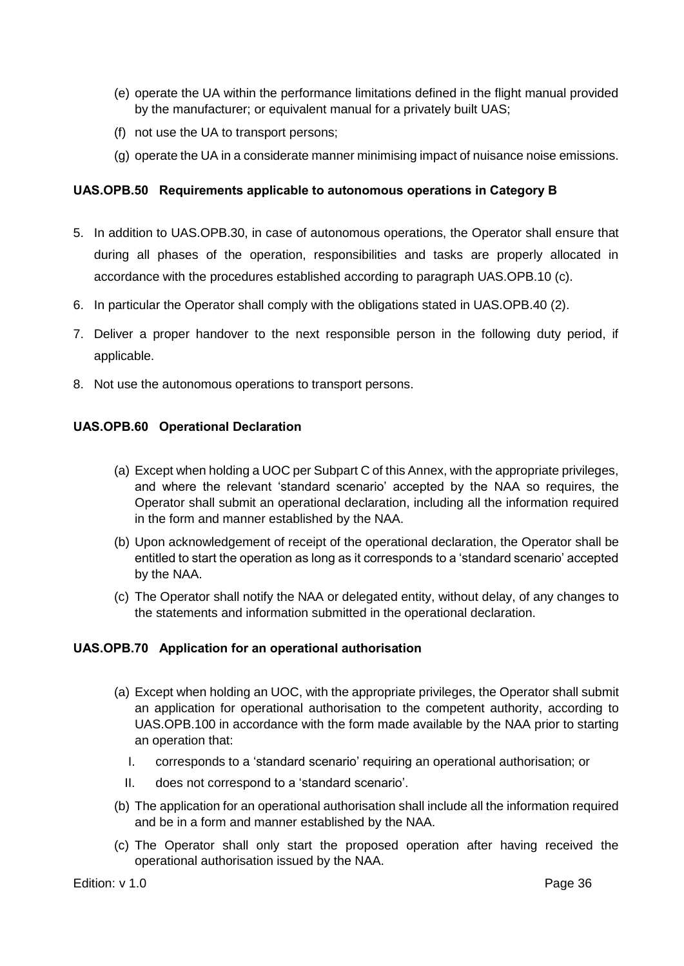- (e) operate the UA within the performance limitations defined in the flight manual provided by the manufacturer; or equivalent manual for a privately built UAS;
- (f) not use the UA to transport persons;
- (g) operate the UA in a considerate manner minimising impact of nuisance noise emissions.

#### <span id="page-35-0"></span>**UAS.OPB.50 Requirements applicable to autonomous operations in Category B**

- 5. In addition to UAS.OPB.30, in case of autonomous operations, the Operator shall ensure that during all phases of the operation, responsibilities and tasks are properly allocated in accordance with the procedures established according to paragraph UAS.OPB.10 (c).
- 6. In particular the Operator shall comply with the obligations stated in UAS.OPB.40 (2).
- 7. Deliver a proper handover to the next responsible person in the following duty period, if applicable.
- 8. Not use the autonomous operations to transport persons.

#### <span id="page-35-1"></span>**UAS.OPB.60 Operational Declaration**

- (a) Except when holding a UOC per Subpart C of this Annex, with the appropriate privileges, and where the relevant 'standard scenario' accepted by the NAA so requires, the Operator shall submit an operational declaration, including all the information required in the form and manner established by the NAA.
- (b) Upon acknowledgement of receipt of the operational declaration, the Operator shall be entitled to start the operation as long as it corresponds to a 'standard scenario' accepted by the NAA.
- (c) The Operator shall notify the NAA or delegated entity, without delay, of any changes to the statements and information submitted in the operational declaration.

#### <span id="page-35-2"></span>**UAS.OPB.70 Application for an operational authorisation**

- (a) Except when holding an UOC, with the appropriate privileges, the Operator shall submit an application for operational authorisation to the competent authority, according to UAS.OPB.100 in accordance with the form made available by the NAA prior to starting an operation that:
	- I. corresponds to a 'standard scenario' requiring an operational authorisation; or
	- II. does not correspond to a 'standard scenario'.
- (b) The application for an operational authorisation shall include all the information required and be in a form and manner established by the NAA.
- (c) The Operator shall only start the proposed operation after having received the operational authorisation issued by the NAA.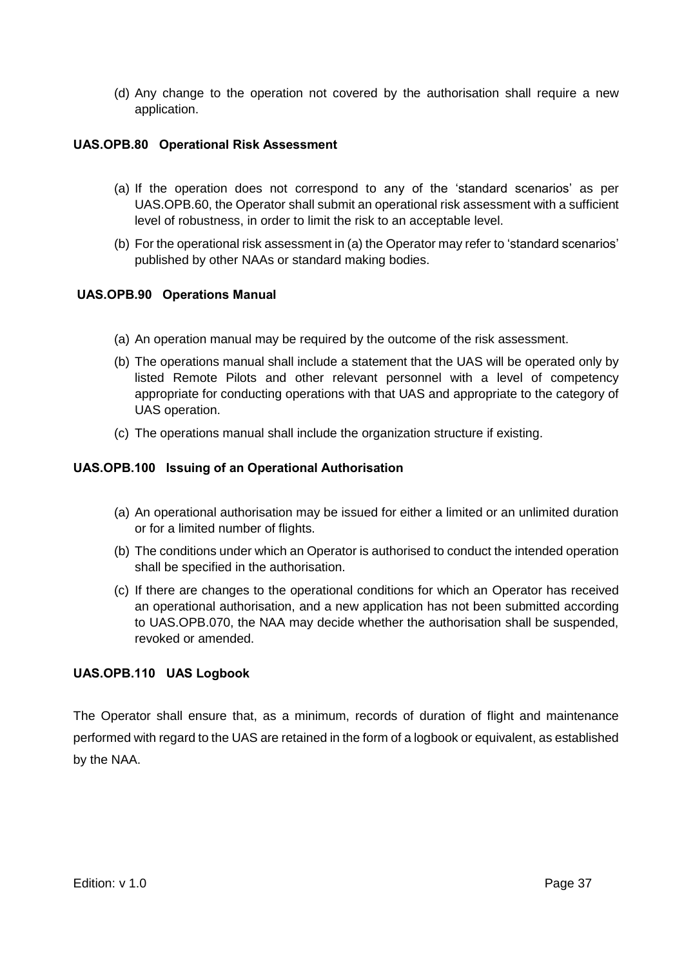(d) Any change to the operation not covered by the authorisation shall require a new application.

#### <span id="page-36-0"></span>**UAS.OPB.80 Operational Risk Assessment**

- (a) If the operation does not correspond to any of the 'standard scenarios' as per UAS.OPB.60, the Operator shall submit an operational risk assessment with a sufficient level of robustness, in order to limit the risk to an acceptable level.
- (b) For the operational risk assessment in (a) the Operator may refer to 'standard scenarios' published by other NAAs or standard making bodies.

#### <span id="page-36-1"></span>**UAS.OPB.90 Operations Manual**

- (a) An operation manual may be required by the outcome of the risk assessment.
- (b) The operations manual shall include a statement that the UAS will be operated only by listed Remote Pilots and other relevant personnel with a level of competency appropriate for conducting operations with that UAS and appropriate to the category of UAS operation.
- (c) The operations manual shall include the organization structure if existing.

#### <span id="page-36-2"></span>**UAS.OPB.100 Issuing of an Operational Authorisation**

- (a) An operational authorisation may be issued for either a limited or an unlimited duration or for a limited number of flights.
- (b) The conditions under which an Operator is authorised to conduct the intended operation shall be specified in the authorisation.
- (c) If there are changes to the operational conditions for which an Operator has received an operational authorisation, and a new application has not been submitted according to UAS.OPB.070, the NAA may decide whether the authorisation shall be suspended, revoked or amended.

#### <span id="page-36-3"></span>**UAS.OPB.110 UAS Logbook**

The Operator shall ensure that, as a minimum, records of duration of flight and maintenance performed with regard to the UAS are retained in the form of a logbook or equivalent, as established by the NAA.